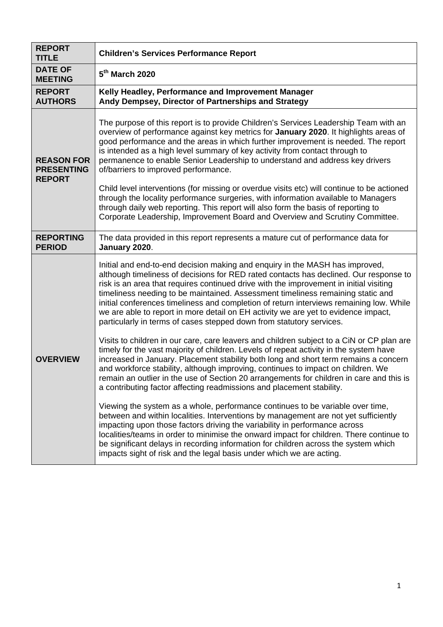| <b>REPORT</b><br><b>TITLE</b>                           | <b>Children's Services Performance Report</b>                                                                                                                                                                                                                                                                                                                                                                                                                                                                                                                                                               |
|---------------------------------------------------------|-------------------------------------------------------------------------------------------------------------------------------------------------------------------------------------------------------------------------------------------------------------------------------------------------------------------------------------------------------------------------------------------------------------------------------------------------------------------------------------------------------------------------------------------------------------------------------------------------------------|
| <b>DATE OF</b><br><b>MEETING</b>                        | 5 <sup>th</sup> March 2020                                                                                                                                                                                                                                                                                                                                                                                                                                                                                                                                                                                  |
| <b>REPORT</b><br><b>AUTHORS</b>                         | Kelly Headley, Performance and Improvement Manager<br>Andy Dempsey, Director of Partnerships and Strategy                                                                                                                                                                                                                                                                                                                                                                                                                                                                                                   |
| <b>REASON FOR</b><br><b>PRESENTING</b><br><b>REPORT</b> | The purpose of this report is to provide Children's Services Leadership Team with an<br>overview of performance against key metrics for January 2020. It highlights areas of<br>good performance and the areas in which further improvement is needed. The report<br>is intended as a high level summary of key activity from contact through to<br>permanence to enable Senior Leadership to understand and address key drivers<br>of/barriers to improved performance.                                                                                                                                    |
|                                                         | Child level interventions (for missing or overdue visits etc) will continue to be actioned<br>through the locality performance surgeries, with information available to Managers<br>through daily web reporting. This report will also form the basis of reporting to<br>Corporate Leadership, Improvement Board and Overview and Scrutiny Committee.                                                                                                                                                                                                                                                       |
| <b>REPORTING</b><br><b>PERIOD</b>                       | The data provided in this report represents a mature cut of performance data for<br>January 2020.                                                                                                                                                                                                                                                                                                                                                                                                                                                                                                           |
|                                                         | Initial and end-to-end decision making and enquiry in the MASH has improved,<br>although timeliness of decisions for RED rated contacts has declined. Our response to<br>risk is an area that requires continued drive with the improvement in initial visiting<br>timeliness needing to be maintained. Assessment timeliness remaining static and<br>initial conferences timeliness and completion of return interviews remaining low. While<br>we are able to report in more detail on EH activity we are yet to evidence impact,<br>particularly in terms of cases stepped down from statutory services. |
| <b>OVERVIEW</b>                                         | Visits to children in our care, care leavers and children subject to a CiN or CP plan are<br>timely for the vast majority of children. Levels of repeat activity in the system have<br>increased in January. Placement stability both long and short term remains a concern<br>and workforce stability, although improving, continues to impact on children. We<br>remain an outlier in the use of Section 20 arrangements for children in care and this is<br>a contributing factor affecting readmissions and placement stability.                                                                        |
|                                                         | Viewing the system as a whole, performance continues to be variable over time,<br>between and within localities. Interventions by management are not yet sufficiently<br>impacting upon those factors driving the variability in performance across<br>localities/teams in order to minimise the onward impact for children. There continue to<br>be significant delays in recording information for children across the system which<br>impacts sight of risk and the legal basis under which we are acting.                                                                                               |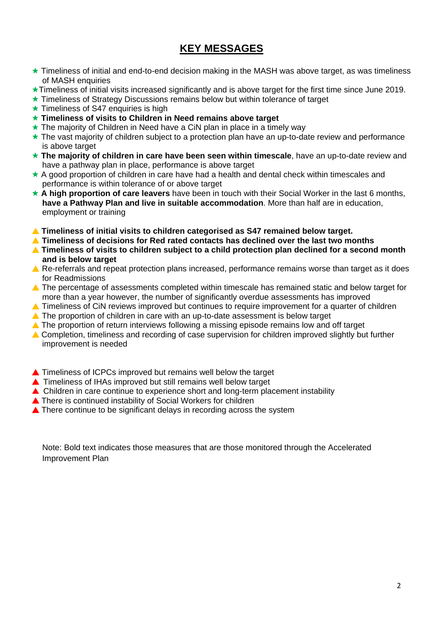## **KEY MESSAGES**

- ★ Timeliness of initial and end-to-end decision making in the MASH was above target, as was timeliness of MASH enquiries
- Timeliness of initial visits increased significantly and is above target for the first time since June 2019.
- ★ Timeliness of Strategy Discussions remains below but within tolerance of target
- $\star$  Timeliness of S47 enquiries is high
- **Timeliness of visits to Children in Need remains above target**
- ★ The majority of Children in Need have a CiN plan in place in a timely way
- $\star$  The vast majority of children subject to a protection plan have an up-to-date review and performance is above target
- **The majority of children in care have been seen within timescale**, have an up-to-date review and have a pathway plan in place, performance is above target
- $\star$  A good proportion of children in care have had a health and dental check within timescales and performance is within tolerance of or above target
- ★ A high proportion of care leavers have been in touch with their Social Worker in the last 6 months, **have a Pathway Plan and live in suitable accommodation**. More than half are in education, employment or training
- **Timeliness of initial visits to children categorised as S47 remained below target.**
- **Timeliness of decisions for Red rated contacts has declined over the last two months**
- ▲ Timeliness of visits to children subject to a child protection plan declined for a second month **and is below target**
- A Re-referrals and repeat protection plans increased, performance remains worse than target as it does for Readmissions
- ▲ The percentage of assessments completed within timescale has remained static and below target for more than a year however, the number of significantly overdue assessments has improved
- ▲ Timeliness of CiN reviews improved but continues to require improvement for a quarter of children
- **A** The proportion of children in care with an up-to-date assessment is below target
- ▲ The proportion of return interviews following a missing episode remains low and off target
- ▲ Completion, timeliness and recording of case supervision for children improved slightly but further improvement is needed
- ▲ Timeliness of ICPCs improved but remains well below the target
- ▲ Timeliness of IHAs improved but still remains well below target
- ▲ Children in care continue to experience short and long-term placement instability
- ▲ There is continued instability of Social Workers for children
- **■** There continue to be significant delays in recording across the system

Note: Bold text indicates those measures that are those monitored through the Accelerated Improvement Plan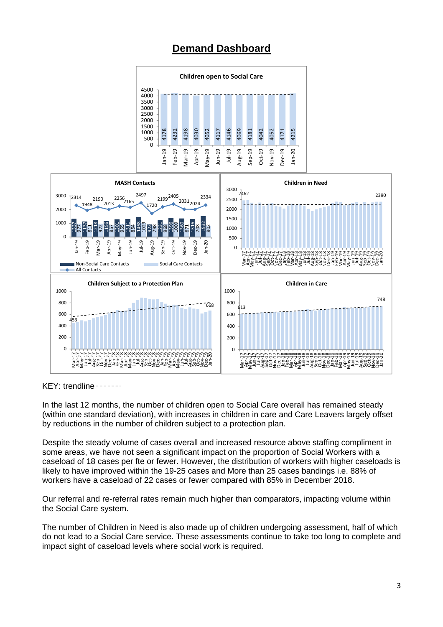## **Demand Dashboard**





KEY: trendline -------

In the last 12 months, the number of children open to Social Care overall has remained steady (within one standard deviation), with increases in children in care and Care Leavers largely offset by reductions in the number of children subject to a protection plan.

Despite the steady volume of cases overall and increased resource above staffing compliment in some areas, we have not seen a significant impact on the proportion of Social Workers with a caseload of 18 cases per fte or fewer. However, the distribution of workers with higher caseloads is likely to have improved within the 19-25 cases and More than 25 cases bandings i.e. 88% of workers have a caseload of 22 cases or fewer compared with 85% in December 2018.

Our referral and re-referral rates remain much higher than comparators, impacting volume within the Social Care system.

The number of Children in Need is also made up of children undergoing assessment, half of which do not lead to a Social Care service. These assessments continue to take too long to complete and impact sight of caseload levels where social work is required.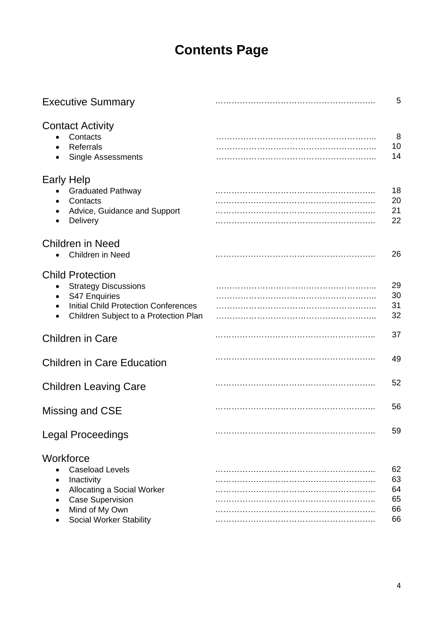# **Contents Page**

| <b>Executive Summary</b>                                                                                                                                                                  | 5                                |
|-------------------------------------------------------------------------------------------------------------------------------------------------------------------------------------------|----------------------------------|
| <b>Contact Activity</b><br>Contacts<br><b>Referrals</b><br><b>Single Assessments</b>                                                                                                      | 8<br>10<br>14                    |
| <b>Early Help</b><br><b>Graduated Pathway</b><br>Contacts<br>Advice, Guidance and Support<br><b>Delivery</b><br>$\bullet$                                                                 | 18<br>20<br>21<br>22             |
| <b>Children in Need</b><br>Children in Need                                                                                                                                               | 26                               |
| <b>Child Protection</b><br><b>Strategy Discussions</b><br>S47 Enquiries<br><b>Initial Child Protection Conferences</b><br>$\bullet$<br>Children Subject to a Protection Plan<br>$\bullet$ | 29<br>30<br>31<br>32             |
| <b>Children in Care</b>                                                                                                                                                                   | 37                               |
| <b>Children in Care Education</b>                                                                                                                                                         | 49                               |
| <b>Children Leaving Care</b>                                                                                                                                                              | 52                               |
| Missing and CSE                                                                                                                                                                           | 56                               |
| <b>Legal Proceedings</b>                                                                                                                                                                  | 59                               |
| Workforce<br><b>Caseload Levels</b><br>Inactivity<br>Allocating a Social Worker<br><b>Case Supervision</b><br>Mind of My Own<br><b>Social Worker Stability</b><br>٠                       | 62<br>63<br>64<br>65<br>66<br>66 |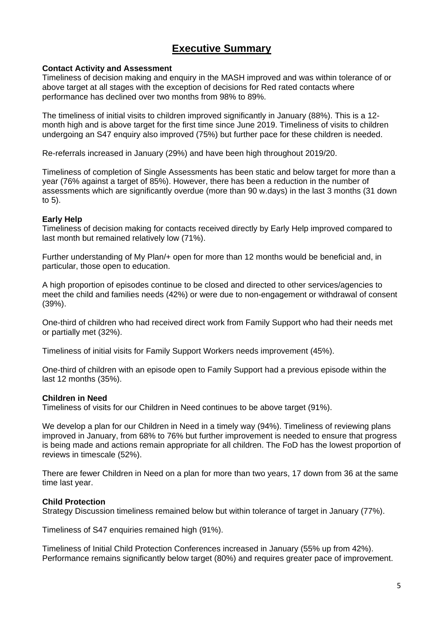## **Executive Summary**

## **Contact Activity and Assessment**

Timeliness of decision making and enquiry in the MASH improved and was within tolerance of or above target at all stages with the exception of decisions for Red rated contacts where performance has declined over two months from 98% to 89%.

The timeliness of initial visits to children improved significantly in January (88%). This is a 12 month high and is above target for the first time since June 2019. Timeliness of visits to children undergoing an S47 enquiry also improved (75%) but further pace for these children is needed.

Re-referrals increased in January (29%) and have been high throughout 2019/20.

Timeliness of completion of Single Assessments has been static and below target for more than a year (76% against a target of 85%). However, there has been a reduction in the number of assessments which are significantly overdue (more than 90 w.days) in the last 3 months (31 down to 5).

### **Early Help**

Timeliness of decision making for contacts received directly by Early Help improved compared to last month but remained relatively low (71%).

Further understanding of My Plan/+ open for more than 12 months would be beneficial and, in particular, those open to education.

A high proportion of episodes continue to be closed and directed to other services/agencies to meet the child and families needs (42%) or were due to non-engagement or withdrawal of consent (39%).

One-third of children who had received direct work from Family Support who had their needs met or partially met (32%).

Timeliness of initial visits for Family Support Workers needs improvement (45%).

One-third of children with an episode open to Family Support had a previous episode within the last 12 months (35%).

## **Children in Need**

Timeliness of visits for our Children in Need continues to be above target (91%).

We develop a plan for our Children in Need in a timely way (94%). Timeliness of reviewing plans improved in January, from 68% to 76% but further improvement is needed to ensure that progress is being made and actions remain appropriate for all children. The FoD has the lowest proportion of reviews in timescale (52%).

There are fewer Children in Need on a plan for more than two years, 17 down from 36 at the same time last year.

#### **Child Protection**

Strategy Discussion timeliness remained below but within tolerance of target in January (77%).

Timeliness of S47 enquiries remained high (91%).

Timeliness of Initial Child Protection Conferences increased in January (55% up from 42%). Performance remains significantly below target (80%) and requires greater pace of improvement.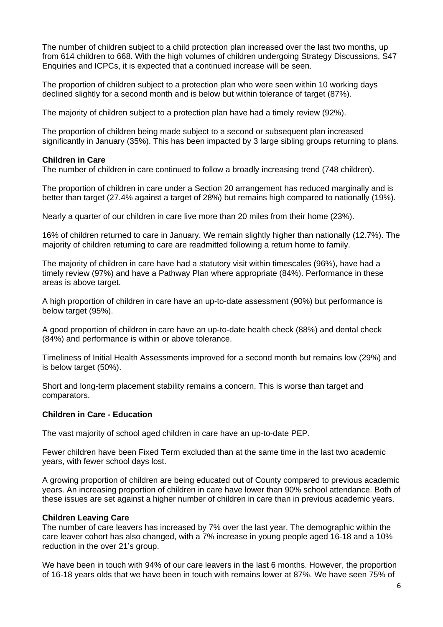The number of children subject to a child protection plan increased over the last two months, up from 614 children to 668. With the high volumes of children undergoing Strategy Discussions, S47 Enquiries and ICPCs, it is expected that a continued increase will be seen.

The proportion of children subject to a protection plan who were seen within 10 working days declined slightly for a second month and is below but within tolerance of target (87%).

The majority of children subject to a protection plan have had a timely review (92%).

The proportion of children being made subject to a second or subsequent plan increased significantly in January (35%). This has been impacted by 3 large sibling groups returning to plans.

### **Children in Care**

The number of children in care continued to follow a broadly increasing trend (748 children).

The proportion of children in care under a Section 20 arrangement has reduced marginally and is better than target (27.4% against a target of 28%) but remains high compared to nationally (19%).

Nearly a quarter of our children in care live more than 20 miles from their home (23%).

16% of children returned to care in January. We remain slightly higher than nationally (12.7%). The majority of children returning to care are readmitted following a return home to family.

The majority of children in care have had a statutory visit within timescales (96%), have had a timely review (97%) and have a Pathway Plan where appropriate (84%). Performance in these areas is above target.

A high proportion of children in care have an up-to-date assessment (90%) but performance is below target (95%).

A good proportion of children in care have an up-to-date health check (88%) and dental check (84%) and performance is within or above tolerance.

Timeliness of Initial Health Assessments improved for a second month but remains low (29%) and is below target (50%).

Short and long-term placement stability remains a concern. This is worse than target and comparators.

## **Children in Care - Education**

The vast majority of school aged children in care have an up-to-date PEP.

Fewer children have been Fixed Term excluded than at the same time in the last two academic years, with fewer school days lost.

A growing proportion of children are being educated out of County compared to previous academic years. An increasing proportion of children in care have lower than 90% school attendance. Both of these issues are set against a higher number of children in care than in previous academic years.

## **Children Leaving Care**

The number of care leavers has increased by 7% over the last year. The demographic within the care leaver cohort has also changed, with a 7% increase in young people aged 16-18 and a 10% reduction in the over 21's group.

We have been in touch with 94% of our care leavers in the last 6 months. However, the proportion of 16-18 years olds that we have been in touch with remains lower at 87%. We have seen 75% of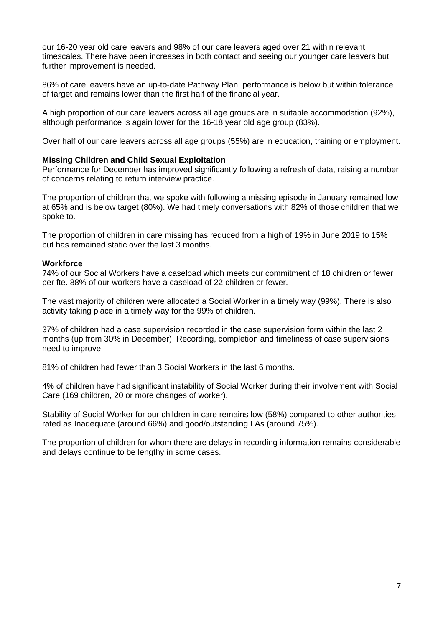our 16-20 year old care leavers and 98% of our care leavers aged over 21 within relevant timescales. There have been increases in both contact and seeing our younger care leavers but further improvement is needed.

86% of care leavers have an up-to-date Pathway Plan, performance is below but within tolerance of target and remains lower than the first half of the financial year.

A high proportion of our care leavers across all age groups are in suitable accommodation (92%), although performance is again lower for the 16-18 year old age group (83%).

Over half of our care leavers across all age groups (55%) are in education, training or employment.

## **Missing Children and Child Sexual Exploitation**

Performance for December has improved significantly following a refresh of data, raising a number of concerns relating to return interview practice.

The proportion of children that we spoke with following a missing episode in January remained low at 65% and is below target (80%). We had timely conversations with 82% of those children that we spoke to.

The proportion of children in care missing has reduced from a high of 19% in June 2019 to 15% but has remained static over the last 3 months.

#### **Workforce**

74% of our Social Workers have a caseload which meets our commitment of 18 children or fewer per fte. 88% of our workers have a caseload of 22 children or fewer.

The vast majority of children were allocated a Social Worker in a timely way (99%). There is also activity taking place in a timely way for the 99% of children.

37% of children had a case supervision recorded in the case supervision form within the last 2 months (up from 30% in December). Recording, completion and timeliness of case supervisions need to improve.

81% of children had fewer than 3 Social Workers in the last 6 months.

4% of children have had significant instability of Social Worker during their involvement with Social Care (169 children, 20 or more changes of worker).

Stability of Social Worker for our children in care remains low (58%) compared to other authorities rated as Inadequate (around 66%) and good/outstanding LAs (around 75%).

The proportion of children for whom there are delays in recording information remains considerable and delays continue to be lengthy in some cases.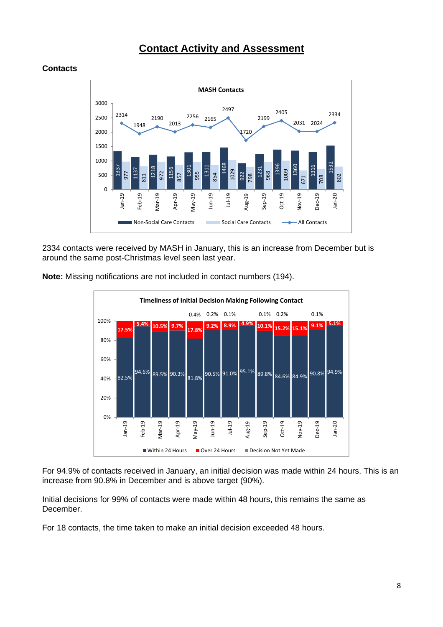## **Contact Activity and Assessment**



### **Contacts**

2334 contacts were received by MASH in January, this is an increase from December but is around the same post-Christmas level seen last year.





For 94.9% of contacts received in January, an initial decision was made within 24 hours. This is an increase from 90.8% in December and is above target (90%).

Initial decisions for 99% of contacts were made within 48 hours, this remains the same as December.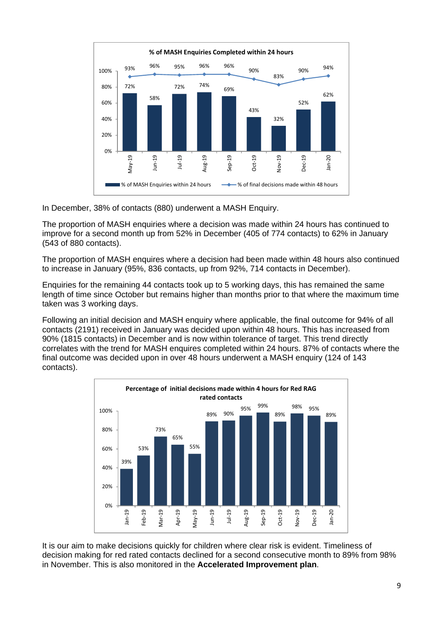

In December, 38% of contacts (880) underwent a MASH Enquiry.

The proportion of MASH enquiries where a decision was made within 24 hours has continued to improve for a second month up from 52% in December (405 of 774 contacts) to 62% in January (543 of 880 contacts).

The proportion of MASH enquires where a decision had been made within 48 hours also continued to increase in January (95%, 836 contacts, up from 92%, 714 contacts in December).

Enquiries for the remaining 44 contacts took up to 5 working days, this has remained the same length of time since October but remains higher than months prior to that where the maximum time taken was 3 working days.

Following an initial decision and MASH enquiry where applicable, the final outcome for 94% of all contacts (2191) received in January was decided upon within 48 hours. This has increased from 90% (1815 contacts) in December and is now within tolerance of target. This trend directly correlates with the trend for MASH enquires completed within 24 hours. 87% of contacts where the final outcome was decided upon in over 48 hours underwent a MASH enquiry (124 of 143 contacts).



It is our aim to make decisions quickly for children where clear risk is evident. Timeliness of decision making for red rated contacts declined for a second consecutive month to 89% from 98% in November. This is also monitored in the **Accelerated Improvement plan**.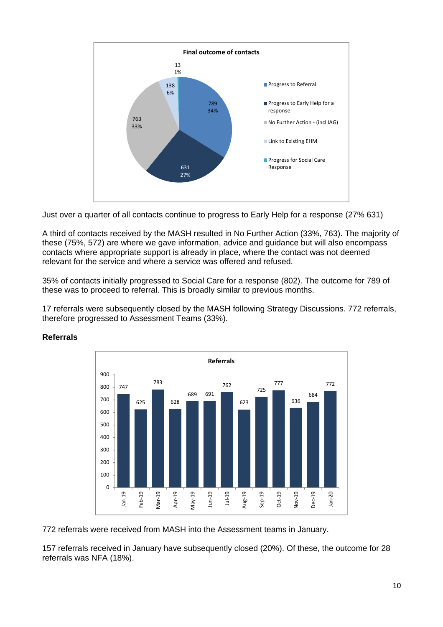

Just over a quarter of all contacts continue to progress to Early Help for a response (27% 631)

A third of contacts received by the MASH resulted in No Further Action (33%, 763). The majority of these (75%, 572) are where we gave information, advice and guidance but will also encompass contacts where appropriate support is already in place, where the contact was not deemed relevant for the service and where a service was offered and refused.

35% of contacts initially progressed to Social Care for a response (802). The outcome for 789 of these was to proceed to referral. This is broadly similar to previous months.

17 referrals were subsequently closed by the MASH following Strategy Discussions. 772 referrals, therefore progressed to Assessment Teams (33%).



## **Referrals**

772 referrals were received from MASH into the Assessment teams in January.

157 referrals received in January have subsequently closed (20%). Of these, the outcome for 28 referrals was NFA (18%).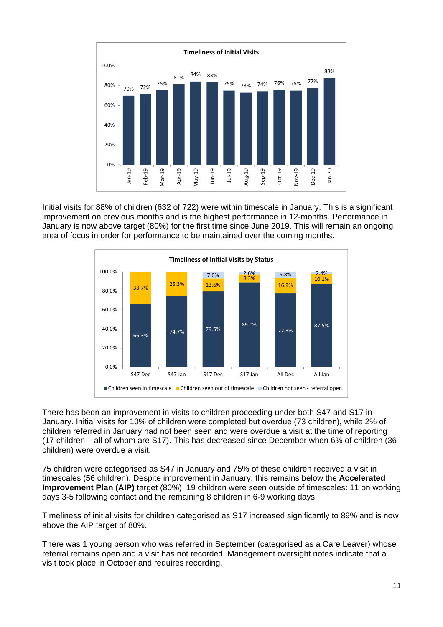

Initial visits for 88% of children (632 of 722) were within timescale in January. This is a significant improvement on previous months and is the highest performance in 12-months. Performance in January is now above target (80%) for the first time since June 2019. This will remain an ongoing area of focus in order for performance to be maintained over the coming months.



There has been an improvement in visits to children proceeding under both S47 and S17 in January. Initial visits for 10% of children were completed but overdue (73 children), while 2% of children referred in January had not been seen and were overdue a visit at the time of reporting (17 children – all of whom are S17). This has decreased since December when 6% of children (36 children) were overdue a visit.

75 children were categorised as S47 in January and 75% of these children received a visit in timescales (56 children). Despite improvement in January, this remains below the **Accelerated Improvement Plan (AIP)** target (80%). 19 children were seen outside of timescales: 11 on working days 3-5 following contact and the remaining 8 children in 6-9 working days.

Timeliness of initial visits for children categorised as S17 increased significantly to 89% and is now above the AIP target of 80%.

There was 1 young person who was referred in September (categorised as a Care Leaver) whose referral remains open and a visit has not recorded. Management oversight notes indicate that a visit took place in October and requires recording.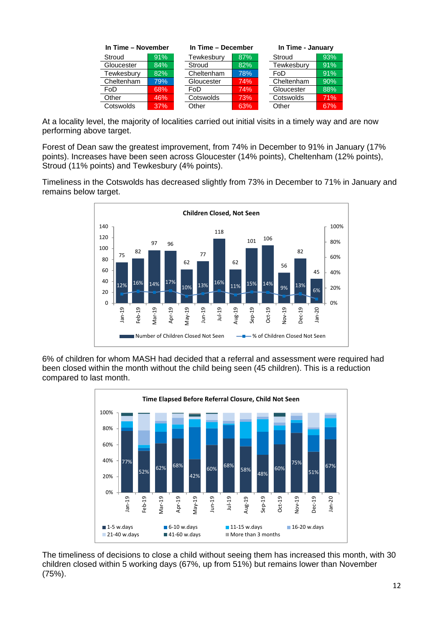| In Time - November |        | In Time - December |        |            | In Time - January |  |
|--------------------|--------|--------------------|--------|------------|-------------------|--|
| Stroud             | 91%    | Tewkesbury         | 87%    | Stroud     | 93%               |  |
| Gloucester         | $84\%$ | Stroud             | $82\%$ | Tewkesbury | 91%               |  |
| Tewkesbury         | 82%    | Cheltenham         | 78%    | FoD        | 91%               |  |
| Cheltenham         | 79%    | Gloucester         | 74%    | Cheltenham | 90%               |  |
| FoD                | 68%    | FoD                | 74%    | Gloucester | 88%               |  |
| Other              | 46%    | Cotswolds          | 73%    | Cotswolds  | 71%               |  |
| Cotswolds          | 37%    | Other              | 63%    | Other      | 67%               |  |

At a locality level, the majority of localities carried out initial visits in a timely way and are now performing above target.

Forest of Dean saw the greatest improvement, from 74% in December to 91% in January (17% points). Increases have been seen across Gloucester (14% points), Cheltenham (12% points), Stroud (11% points) and Tewkesbury (4% points).

Timeliness in the Cotswolds has decreased slightly from 73% in December to 71% in January and remains below target.



6% of children for whom MASH had decided that a referral and assessment were required had been closed within the month without the child being seen (45 children). This is a reduction compared to last month.



The timeliness of decisions to close a child without seeing them has increased this month, with 30 children closed within 5 working days (67%, up from 51%) but remains lower than November (75%).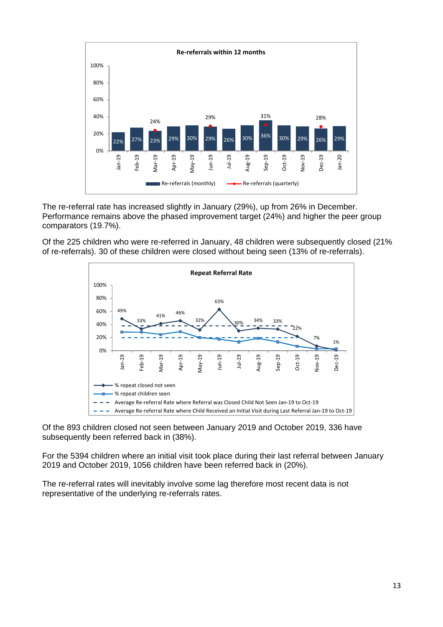

The re-referral rate has increased slightly in January (29%), up from 26% in December. Performance remains above the phased improvement target (24%) and higher the peer group comparators (19.7%).

Of the 225 children who were re-referred in January, 48 children were subsequently closed (21%) of re-referrals). 30 of these children were closed without being seen (13% of re-referrals).



Of the 893 children closed not seen between January 2019 and October 2019, 336 have subsequently been referred back in (38%).

For the 5394 children where an initial visit took place during their last referral between January 2019 and October 2019, 1056 children have been referred back in (20%).

The re-referral rates will inevitably involve some lag therefore most recent data is not representative of the underlying re-referrals rates.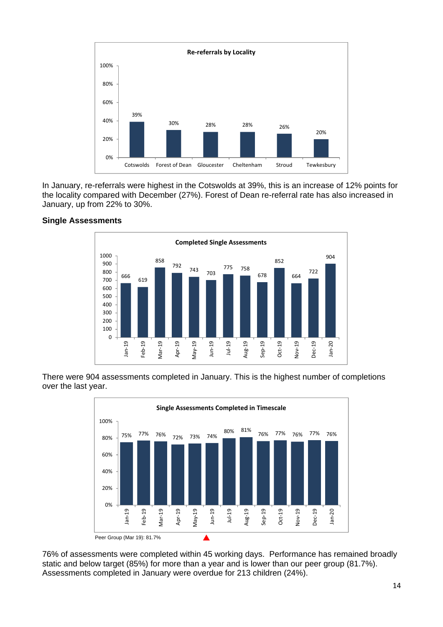

In January, re-referrals were highest in the Cotswolds at 39%, this is an increase of 12% points for the locality compared with December (27%). Forest of Dean re-referral rate has also increased in January, up from 22% to 30%.



### **Single Assessments**

There were 904 assessments completed in January. This is the highest number of completions over the last year.



76% of assessments were completed within 45 working days. Performance has remained broadly static and below target (85%) for more than a year and is lower than our peer group (81.7%). Assessments completed in January were overdue for 213 children (24%).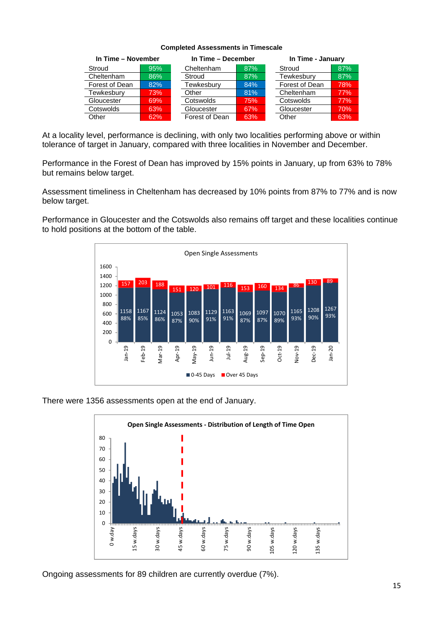#### **Completed Assessments in Timescale**

| In Time - November |        |                | In Time - December |                | In Time - January |  |
|--------------------|--------|----------------|--------------------|----------------|-------------------|--|
| Stroud             | 95%    | Cheltenham     | 87%                | Stroud         | 87%               |  |
| Cheltenham         | $86\%$ | Stroud         | 87%                | Tewkesbury     | 87%               |  |
| Forest of Dean     | 82%    | Tewkesburv     | 84%                | Forest of Dean | 78%               |  |
| Tewkesburv         | 73%    | Other          | 81%                | Cheltenham     | 77%               |  |
| Gloucester         | 69%    | Cotswolds      | 75%                | Cotswolds      | 77%               |  |
| Cotswolds          | 63%    | Gloucester     | 67%                | Gloucester     | 70%               |  |
| Other              | 62%    | Forest of Dean | 63%                | Other          | 63%               |  |

At a locality level, performance is declining, with only two localities performing above or within tolerance of target in January, compared with three localities in November and December.

Performance in the Forest of Dean has improved by 15% points in January, up from 63% to 78% but remains below target.

Assessment timeliness in Cheltenham has decreased by 10% points from 87% to 77% and is now below target.

Performance in Gloucester and the Cotswolds also remains off target and these localities continue to hold positions at the bottom of the table.



There were 1356 assessments open at the end of January.



Ongoing assessments for 89 children are currently overdue (7%).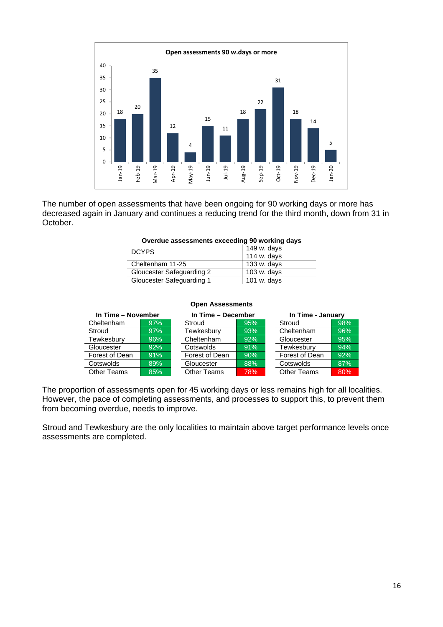

The number of open assessments that have been ongoing for 90 working days or more has decreased again in January and continues a reducing trend for the third month, down from 31 in October.

#### **Overdue assessments exceeding 90 working days**

| DCYPS                            | 149 w. days   |
|----------------------------------|---------------|
|                                  | $114$ w. days |
| Cheltenham 11-25                 | 133 w. days   |
| <b>Gloucester Safeguarding 2</b> | $103$ w. days |
| Gloucester Safeguarding 1        | 101 w. days   |

#### **Open Assessments**

| In Time - November |     | In Time - December |     | In Time - January  |     |
|--------------------|-----|--------------------|-----|--------------------|-----|
| Cheltenham         | 97% | Stroud             | 95% | Stroud             | 98% |
| Stroud             | 97% | Tewkesbury         | 93% | Cheltenham         | 96% |
| Tewkesbury         | 96% | Cheltenham         | 92% | Gloucester         | 95% |
| Gloucester         | 92% | Cotswolds          | 91% | Tewkesbury         | 94% |
| Forest of Dean     | 91% | Forest of Dean     | 90% | Forest of Dean     | 92% |
| Cotswolds          | 89% | Gloucester         | 88% | Cotswolds          | 87% |
| <b>Other Teams</b> | 85% | <b>Other Teams</b> | 78% | <b>Other Teams</b> | 80% |

The proportion of assessments open for 45 working days or less remains high for all localities. However, the pace of completing assessments, and processes to support this, to prevent them from becoming overdue, needs to improve.

Stroud and Tewkesbury are the only localities to maintain above target performance levels once assessments are completed.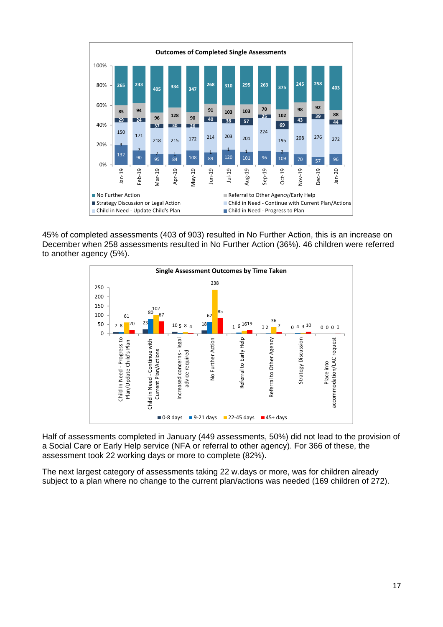

45% of completed assessments (403 of 903) resulted in No Further Action, this is an increase on December when 258 assessments resulted in No Further Action (36%). 46 children were referred to another agency (5%).



Half of assessments completed in January (449 assessments, 50%) did not lead to the provision of a Social Care or Early Help service (NFA or referral to other agency). For 366 of these, the assessment took 22 working days or more to complete (82%).

The next largest category of assessments taking 22 w.days or more, was for children already subject to a plan where no change to the current plan/actions was needed (169 children of 272).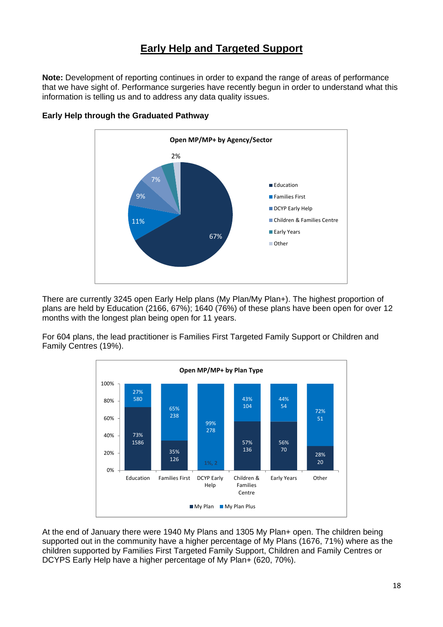## **Early Help and Targeted Support**

**Note:** Development of reporting continues in order to expand the range of areas of performance that we have sight of. Performance surgeries have recently begun in order to understand what this information is telling us and to address any data quality issues.



## **Early Help through the Graduated Pathway**

There are currently 3245 open Early Help plans (My Plan/My Plan+). The highest proportion of plans are held by Education (2166, 67%); 1640 (76%) of these plans have been open for over 12 months with the longest plan being open for 11 years.

For 604 plans, the lead practitioner is Families First Targeted Family Support or Children and Family Centres (19%).



At the end of January there were 1940 My Plans and 1305 My Plan+ open. The children being supported out in the community have a higher percentage of My Plans (1676, 71%) where as the children supported by Families First Targeted Family Support, Children and Family Centres or DCYPS Early Help have a higher percentage of My Plan+ (620, 70%).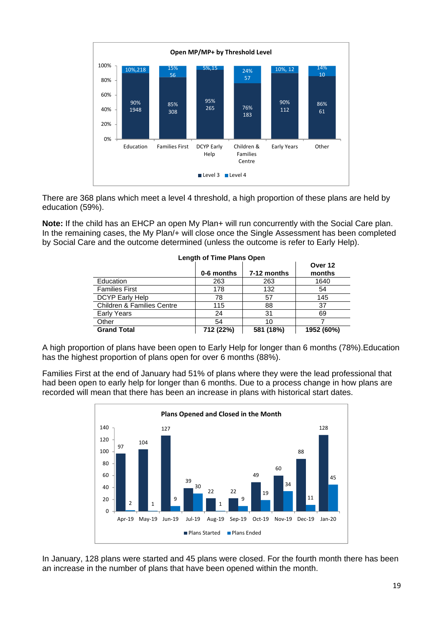

There are 368 plans which meet a level 4 threshold, a high proportion of these plans are held by education (59%).

**Note:** If the child has an EHCP an open My Plan+ will run concurrently with the Social Care plan. In the remaining cases, the My Plan/+ will close once the Single Assessment has been completed by Social Care and the outcome determined (unless the outcome is refer to Early Help).

|                                       | 0-6 months | 7-12 months | Over 12<br>months |
|---------------------------------------|------------|-------------|-------------------|
| Education                             | 263        | 263         | 1640              |
| <b>Families First</b>                 | 178        | 132         | 54                |
| DCYP Early Help                       | 78         | 57          | 145               |
| <b>Children &amp; Families Centre</b> | 115        | 88          | 37                |
| Early Years                           | 24         | 31          | 69                |
| Other                                 | 54         | 10          |                   |
| <b>Grand Total</b>                    | 712 (22%)  | 581 (18%)   | 1952 (60%)        |

#### **Length of Time Plans Open**

A high proportion of plans have been open to Early Help for longer than 6 months (78%).Education has the highest proportion of plans open for over 6 months (88%).

Families First at the end of January had 51% of plans where they were the lead professional that had been open to early help for longer than 6 months. Due to a process change in how plans are recorded will mean that there has been an increase in plans with historical start dates.



In January, 128 plans were started and 45 plans were closed. For the fourth month there has been an increase in the number of plans that have been opened within the month.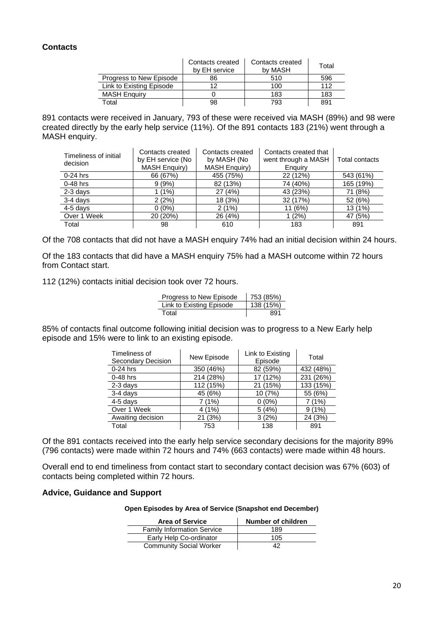## **Contacts**

|                          | Contacts created<br>by EH service | Contacts created<br>by MASH | Total |
|--------------------------|-----------------------------------|-----------------------------|-------|
| Progress to New Episode  | 86                                | 510                         | 596   |
| Link to Existing Episode | 12                                | 100                         | 112   |
| <b>MASH Enguiry</b>      |                                   | 183                         | 183   |
| Total                    | 98                                | 793                         | 891   |

891 contacts were received in January, 793 of these were received via MASH (89%) and 98 were created directly by the early help service (11%). Of the 891 contacts 183 (21%) went through a MASH enquiry.

| Timeliness of initial<br>decision | Contacts created<br>by EH service (No<br><b>MASH Enquiry)</b> | Contacts created<br>by MASH (No<br><b>MASH Enquiry)</b> | Contacts created that<br>went through a MASH<br>Enguiry | Total contacts |
|-----------------------------------|---------------------------------------------------------------|---------------------------------------------------------|---------------------------------------------------------|----------------|
| $0-24$ hrs                        | 66 (67%)                                                      | 455 (75%)                                               | 22 (12%)                                                | 543 (61%)      |
| $0-48$ hrs                        | 9(9%)                                                         | 82 (13%)                                                | 74 (40%)                                                | 165 (19%)      |
| $2-3$ days                        | 1 (1%)                                                        | 27 (4%)                                                 | 43 (23%)                                                | 71 (8%)        |
| 3-4 days                          | 2(2%)                                                         | 18 (3%)                                                 | 32 (17%)                                                | 52 (6%)        |
| $4-5$ days                        | $0(0\%)$                                                      | 2(1%)                                                   | 11 (6%)                                                 | 13(1%)         |
| Over 1 Week                       | 20 (20%)                                                      | 26 (4%)                                                 | 1(2%)                                                   | 47 (5%)        |
| Total                             | 98                                                            | 610                                                     | 183                                                     | 891            |

Of the 708 contacts that did not have a MASH enquiry 74% had an initial decision within 24 hours.

Of the 183 contacts that did have a MASH enquiry 75% had a MASH outcome within 72 hours from Contact start.

112 (12%) contacts initial decision took over 72 hours.

| Progress to New Episode  | 753 (85%) |
|--------------------------|-----------|
| Link to Existing Episode | 138 (15%) |
| Total                    | 891       |

85% of contacts final outcome following initial decision was to progress to a New Early help episode and 15% were to link to an existing episode.

| Timeliness of<br><b>Secondary Decision</b> | New Episode | Link to Existing<br>Episode | Total     |
|--------------------------------------------|-------------|-----------------------------|-----------|
| $0-24$ hrs                                 | 350 (46%)   | 82 (59%)                    | 432 (48%) |
| $0-48$ hrs                                 | 214 (28%)   | 17 (12%)                    | 231 (26%) |
| 2-3 days                                   | 112 (15%)   | 21 (15%)                    | 133 (15%) |
| 3-4 days                                   | 45 (6%)     | 10 (7%)                     | 55 (6%)   |
| $4-5$ days                                 | 7 (1%)      | $0(0\%)$                    | 7(1%)     |
| Over 1 Week                                | 4(1%)       | 5(4%)                       | 9(1%)     |
| Awaiting decision                          | 21 (3%)     | 3(2%)                       | 24 (3%)   |
| Total                                      | 753         | 138                         | 891       |

Of the 891 contacts received into the early help service secondary decisions for the majority 89% (796 contacts) were made within 72 hours and 74% (663 contacts) were made within 48 hours.

Overall end to end timeliness from contact start to secondary contact decision was 67% (603) of contacts being completed within 72 hours.

#### **Advice, Guidance and Support**

#### **Open Episodes by Area of Service (Snapshot end December)**

| <b>Area of Service</b>            | Number of children |
|-----------------------------------|--------------------|
| <b>Family Information Service</b> | 189                |
| Early Help Co-ordinator           | 105                |
| <b>Community Social Worker</b>    | 42                 |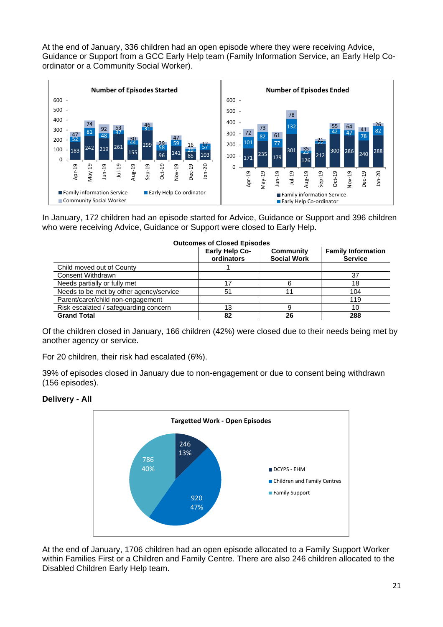At the end of January, 336 children had an open episode where they were receiving Advice, Guidance or Support from a GCC Early Help team (Family Information Service, an Early Help Coordinator or a Community Social Worker).



In January, 172 children had an episode started for Advice, Guidance or Support and 396 children who were receiving Advice, Guidance or Support were closed to Early Help.

| <b>Outcomes of Closed Episodes</b>      |                                     |                                        |                                             |  |  |
|-----------------------------------------|-------------------------------------|----------------------------------------|---------------------------------------------|--|--|
|                                         | <b>Early Help Co-</b><br>ordinators | <b>Community</b><br><b>Social Work</b> | <b>Family Information</b><br><b>Service</b> |  |  |
| Child moved out of County               |                                     |                                        |                                             |  |  |
| <b>Consent Withdrawn</b>                |                                     |                                        | 37                                          |  |  |
| Needs partially or fully met            |                                     |                                        | 18                                          |  |  |
| Needs to be met by other agency/service | 51                                  |                                        | 104                                         |  |  |
| Parent/carer/child non-engagement       |                                     |                                        | 119                                         |  |  |
| Risk escalated / safeguarding concern   | 13                                  | 9                                      | 10                                          |  |  |
| <b>Grand Total</b>                      | 82                                  | 26                                     | 288                                         |  |  |

Of the children closed in January, 166 children (42%) were closed due to their needs being met by another agency or service.

For 20 children, their risk had escalated (6%).

39% of episodes closed in January due to non-engagement or due to consent being withdrawn (156 episodes).

#### **Delivery - All**



At the end of January, 1706 children had an open episode allocated to a Family Support Worker within Families First or a Children and Family Centre. There are also 246 children allocated to the Disabled Children Early Help team.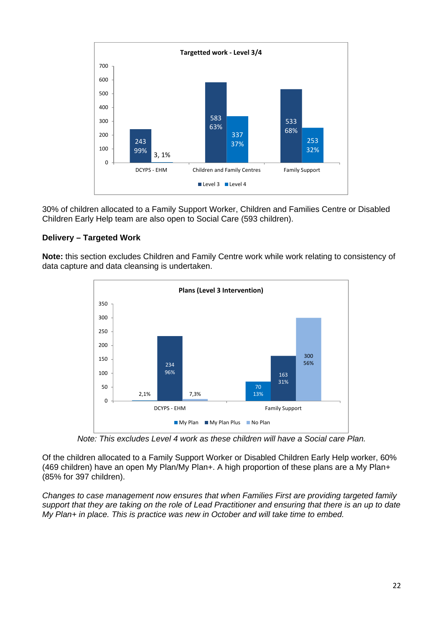

30% of children allocated to a Family Support Worker, Children and Families Centre or Disabled Children Early Help team are also open to Social Care (593 children).

## **Delivery – Targeted Work**

**Note:** this section excludes Children and Family Centre work while work relating to consistency of data capture and data cleansing is undertaken.



*Note: This excludes Level 4 work as these children will have a Social care Plan.* 

Of the children allocated to a Family Support Worker or Disabled Children Early Help worker, 60% (469 children) have an open My Plan/My Plan+. A high proportion of these plans are a My Plan+ (85% for 397 children).

*Changes to case management now ensures that when Families First are providing targeted family support that they are taking on the role of Lead Practitioner and ensuring that there is an up to date My Plan+ in place. This is practice was new in October and will take time to embed.*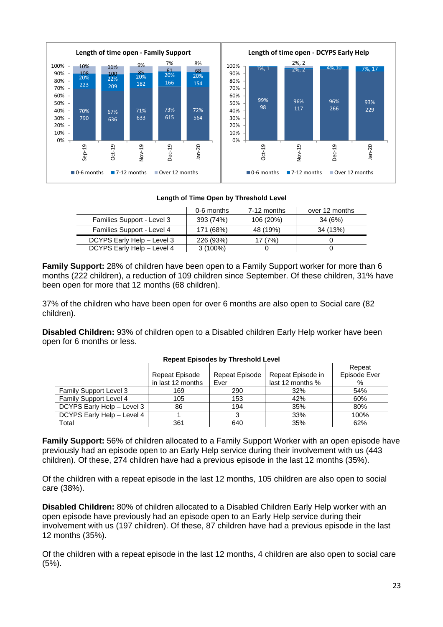

### **Length of Time Open by Threshold Level**

|                            | 0-6 months | 7-12 months | over 12 months |
|----------------------------|------------|-------------|----------------|
| Families Support - Level 3 | 393 (74%)  | 106 (20%)   | 34 (6%)        |
| Families Support - Level 4 | 171 (68%)  | 48 (19%)    | 34 (13%)       |
| DCYPS Early Help - Level 3 | 226 (93%)  | 17 (7%)     |                |
| DCYPS Early Help - Level 4 | $3(100\%)$ |             |                |

**Family Support:** 28% of children have been open to a Family Support worker for more than 6 months (222 children), a reduction of 109 children since September. Of these children, 31% have been open for more that 12 months (68 children).

37% of the children who have been open for over 6 months are also open to Social care (82 children).

**Disabled Children:** 93% of children open to a Disabled children Early Help worker have been open for 6 months or less.

|                               | Repeat Episode<br>in last 12 months | Repeat Episode<br>Ever | Repeat Episode in<br>last 12 months % | Repeat<br>Episode Ever<br>% |
|-------------------------------|-------------------------------------|------------------------|---------------------------------------|-----------------------------|
| <b>Family Support Level 3</b> | 169                                 | 290                    | 32%                                   | 54%                         |
| <b>Family Support Level 4</b> | 105                                 | 153                    | 42%                                   | 60%                         |
| DCYPS Early Help - Level 3    | 86                                  | 194                    | 35%                                   | 80%                         |
| DCYPS Early Help - Level 4    |                                     |                        | 33%                                   | 100%                        |
| Total                         | 361                                 | 640                    | 35%                                   | 62%                         |

#### **Repeat Episodes by Threshold Level**

**Family Support:** 56% of children allocated to a Family Support Worker with an open episode have previously had an episode open to an Early Help service during their involvement with us (443 children). Of these, 274 children have had a previous episode in the last 12 months (35%).

Of the children with a repeat episode in the last 12 months, 105 children are also open to social care (38%).

**Disabled Children:** 80% of children allocated to a Disabled Children Early Help worker with an open episode have previously had an episode open to an Early Help service during their involvement with us (197 children). Of these, 87 children have had a previous episode in the last 12 months (35%).

Of the children with a repeat episode in the last 12 months, 4 children are also open to social care (5%).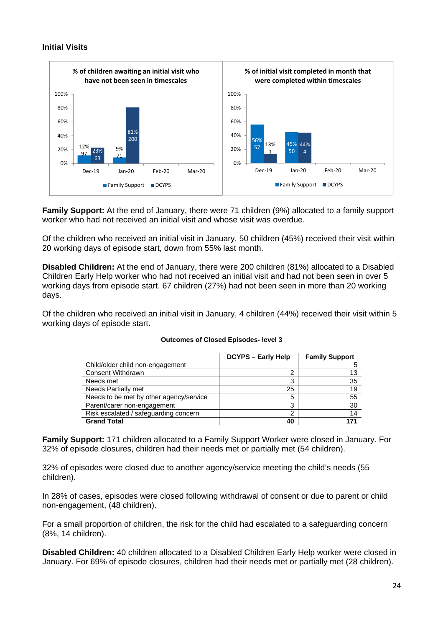## **Initial Visits**



**Family Support:** At the end of January, there were 71 children (9%) allocated to a family support worker who had not received an initial visit and whose visit was overdue.

Of the children who received an initial visit in January, 50 children (45%) received their visit within 20 working days of episode start, down from 55% last month.

**Disabled Children:** At the end of January, there were 200 children (81%) allocated to a Disabled Children Early Help worker who had not received an initial visit and had not been seen in over 5 working days from episode start. 67 children (27%) had not been seen in more than 20 working days.

Of the children who received an initial visit in January, 4 children (44%) received their visit within 5 working days of episode start.

|                                         | <b>DCYPS - Early Help</b> | <b>Family Support</b> |
|-----------------------------------------|---------------------------|-----------------------|
| Child/older child non-engagement        |                           |                       |
| <b>Consent Withdrawn</b>                | ົ                         | 13                    |
| Needs met                               | 3                         | 35                    |
| <b>Needs Partially met</b>              | 25                        | 19                    |
| Needs to be met by other agency/service | 5                         | 55                    |
| Parent/carer non-engagement             | 3                         | 30                    |
| Risk escalated / safeguarding concern   | 2                         | 14                    |
| <b>Grand Total</b>                      | 40                        | 171                   |

#### **Outcomes of Closed Episodes- level 3**

**Family Support:** 171 children allocated to a Family Support Worker were closed in January. For 32% of episode closures, children had their needs met or partially met (54 children).

32% of episodes were closed due to another agency/service meeting the child's needs (55 children).

In 28% of cases, episodes were closed following withdrawal of consent or due to parent or child non-engagement, (48 children).

For a small proportion of children, the risk for the child had escalated to a safeguarding concern (8%, 14 children).

**Disabled Children:** 40 children allocated to a Disabled Children Early Help worker were closed in January. For 69% of episode closures, children had their needs met or partially met (28 children).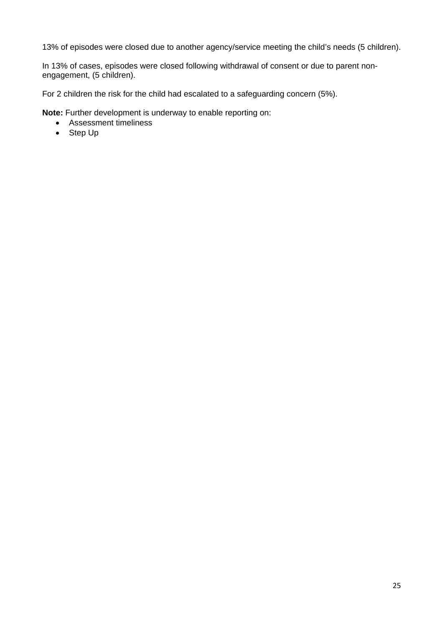13% of episodes were closed due to another agency/service meeting the child's needs (5 children).

In 13% of cases, episodes were closed following withdrawal of consent or due to parent nonengagement, (5 children).

For 2 children the risk for the child had escalated to a safeguarding concern (5%).

**Note:** Further development is underway to enable reporting on:

- Assessment timeliness
- Step Up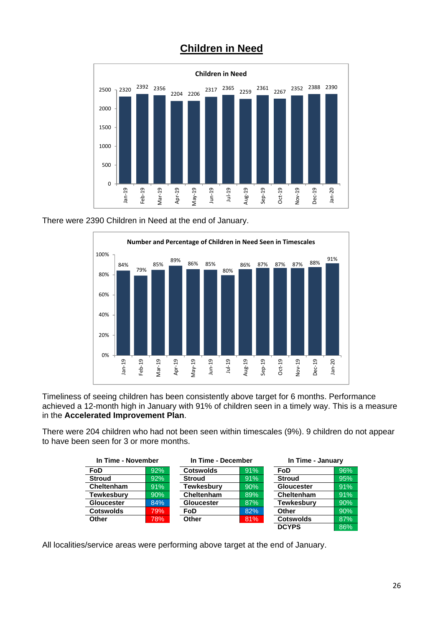

## **Children in Need**

There were 2390 Children in Need at the end of January.



Timeliness of seeing children has been consistently above target for 6 months. Performance achieved a 12-month high in January with 91% of children seen in a timely way. This is a measure in the **Accelerated Improvement Plan**.

There were 204 children who had not been seen within timescales (9%). 9 children do not appear to have been seen for 3 or more months.

| In Time - November |     | In Time - December |        |                   | In Time - January |  |
|--------------------|-----|--------------------|--------|-------------------|-------------------|--|
| <b>FoD</b>         | 92% | <b>Cotswolds</b>   | 91%    | FoD               | 96%               |  |
| <b>Stroud</b>      | 92% | <b>Stroud</b>      | 91%    | <b>Stroud</b>     | 95%               |  |
| Cheltenham         | 91% | Tewkesburv         | 90%    | <b>Gloucester</b> | 91%               |  |
| <b>Tewkesbury</b>  | 90% | Cheltenham         | $89\%$ | Cheltenham        | 91%               |  |
| <b>Gloucester</b>  | 84% | <b>Gloucester</b>  | 87%    | <b>Tewkesburv</b> | 90%               |  |
| <b>Cotswolds</b>   | 79% | FoD                | 82%    | Other             | 90%               |  |
| Other              | 78% | Other<br>81%       |        | <b>Cotswolds</b>  | 87%               |  |
|                    |     |                    |        | <b>DCYPS</b>      | 86%               |  |

All localities/service areas were performing above target at the end of January.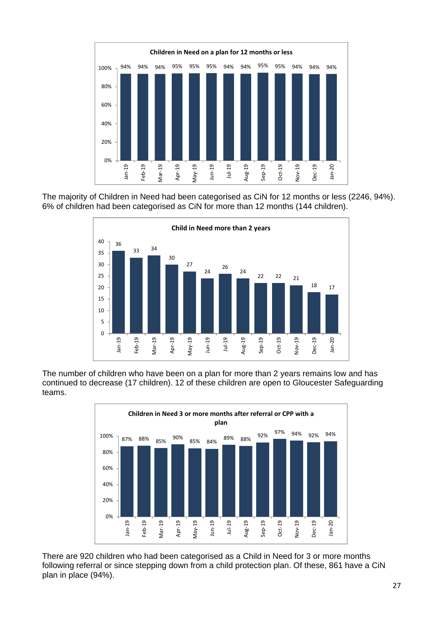

The majority of Children in Need had been categorised as CiN for 12 months or less (2246, 94%). 6% of children had been categorised as CiN for more than 12 months (144 children).



The number of children who have been on a plan for more than 2 years remains low and has continued to decrease (17 children). 12 of these children are open to Gloucester Safeguarding teams.



There are 920 children who had been categorised as a Child in Need for 3 or more months following referral or since stepping down from a child protection plan. Of these, 861 have a CiN plan in place (94%).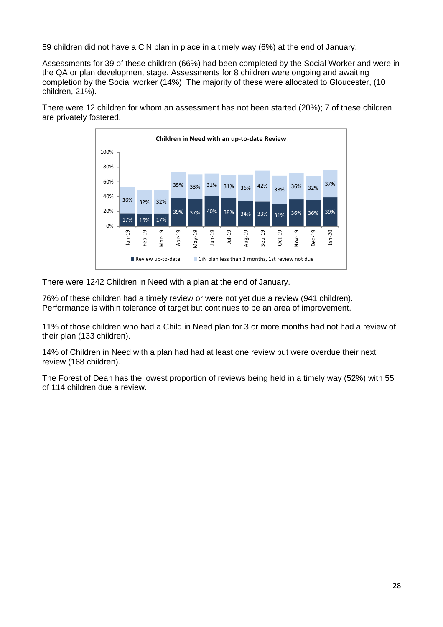59 children did not have a CiN plan in place in a timely way (6%) at the end of January.

Assessments for 39 of these children (66%) had been completed by the Social Worker and were in the QA or plan development stage. Assessments for 8 children were ongoing and awaiting completion by the Social worker (14%). The majority of these were allocated to Gloucester, (10 children, 21%).

There were 12 children for whom an assessment has not been started (20%); 7 of these children are privately fostered.



There were 1242 Children in Need with a plan at the end of January.

76% of these children had a timely review or were not yet due a review (941 children). Performance is within tolerance of target but continues to be an area of improvement.

11% of those children who had a Child in Need plan for 3 or more months had not had a review of their plan (133 children).

14% of Children in Need with a plan had had at least one review but were overdue their next review (168 children).

The Forest of Dean has the lowest proportion of reviews being held in a timely way (52%) with 55 of 114 children due a review.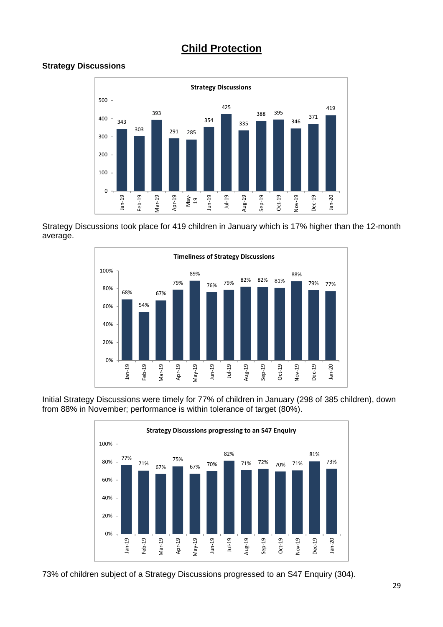## **Child Protection**

## **Strategy Discussions**



Strategy Discussions took place for 419 children in January which is 17% higher than the 12-month average.



Initial Strategy Discussions were timely for 77% of children in January (298 of 385 children), down from 88% in November; performance is within tolerance of target (80%).



73% of children subject of a Strategy Discussions progressed to an S47 Enquiry (304).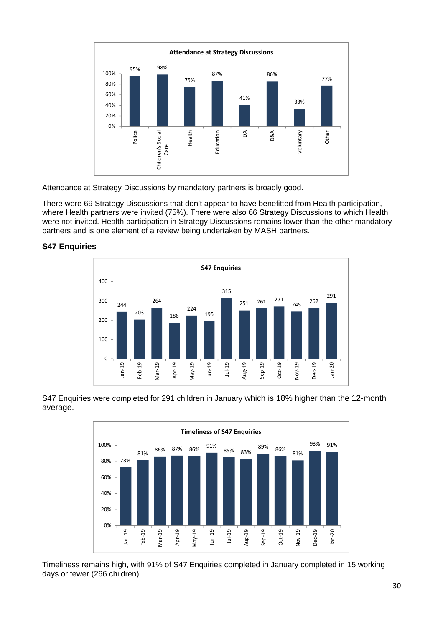

Attendance at Strategy Discussions by mandatory partners is broadly good.

There were 69 Strategy Discussions that don't appear to have benefitted from Health participation, where Health partners were invited (75%). There were also 66 Strategy Discussions to which Health were not invited. Health participation in Strategy Discussions remains lower than the other mandatory partners and is one element of a review being undertaken by MASH partners.



## **S47 Enquiries**

S47 Enquiries were completed for 291 children in January which is 18% higher than the 12-month average.



Timeliness remains high, with 91% of S47 Enquiries completed in January completed in 15 working days or fewer (266 children).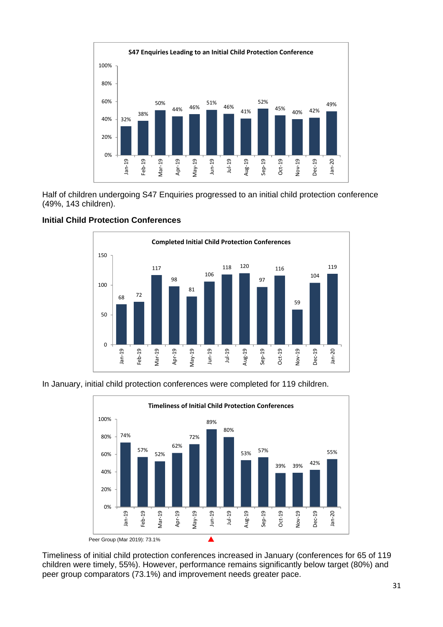

Half of children undergoing S47 Enquiries progressed to an initial child protection conference (49%, 143 children).



## **Initial Child Protection Conferences**

In January, initial child protection conferences were completed for 119 children.



Timeliness of initial child protection conferences increased in January (conferences for 65 of 119 children were timely, 55%). However, performance remains significantly below target (80%) and peer group comparators (73.1%) and improvement needs greater pace.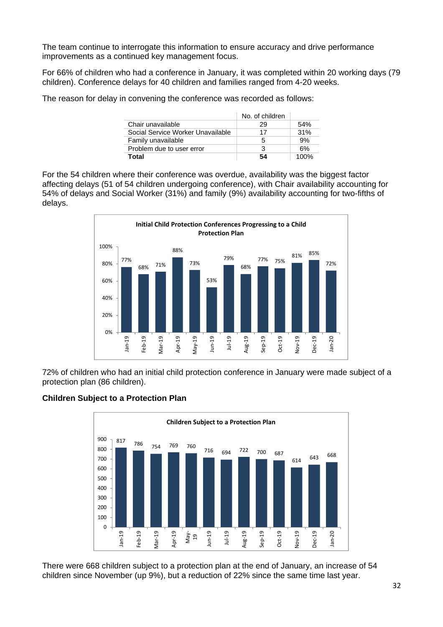The team continue to interrogate this information to ensure accuracy and drive performance improvements as a continued key management focus.

For 66% of children who had a conference in January, it was completed within 20 working days (79 children). Conference delays for 40 children and families ranged from 4-20 weeks.

The reason for delay in convening the conference was recorded as follows:

|                                   | No. of children |      |
|-----------------------------------|-----------------|------|
| Chair unavailable                 | 29              | 54%  |
| Social Service Worker Unavailable | 17              | 31%  |
| Family unavailable                | 5               | 9%   |
| Problem due to user error         | 3               | 6%   |
| Total                             | 54              | 100% |

For the 54 children where their conference was overdue, availability was the biggest factor affecting delays (51 of 54 children undergoing conference), with Chair availability accounting for 54% of delays and Social Worker (31%) and family (9%) availability accounting for two-fifths of delays.



72% of children who had an initial child protection conference in January were made subject of a protection plan (86 children).

## **Children Subject to a Protection Plan**



There were 668 children subject to a protection plan at the end of January, an increase of 54 children since November (up 9%), but a reduction of 22% since the same time last year.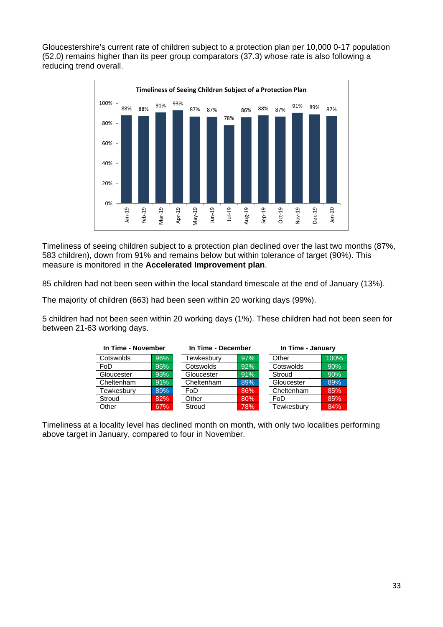Gloucestershire's current rate of children subject to a protection plan per 10,000 0-17 population (52.0) remains higher than its peer group comparators (37.3) whose rate is also following a reducing trend overall.



Timeliness of seeing children subject to a protection plan declined over the last two months (87%, 583 children), down from 91% and remains below but within tolerance of target (90%). This measure is monitored in the **Accelerated Improvement plan**.

85 children had not been seen within the local standard timescale at the end of January (13%).

The majority of children (663) had been seen within 20 working days (99%).

5 children had not been seen within 20 working days (1%). These children had not been seen for between 21-63 working days.

| In Time - November |     | In Time - December |     | In Time - January |      |
|--------------------|-----|--------------------|-----|-------------------|------|
| Cotswolds          | 96% | Tewkesbury         | 97% | Other             | 100% |
| FoD                | 95% | Cotswolds          | 92% | Cotswolds         | 90%  |
| Gloucester         | 93% | Gloucester         | 91% | Stroud            | 90%  |
| Cheltenham         | 91% | Cheltenham         | 89% | Gloucester        | 89%  |
| Tewkesbury         | 89% | FoD                | 86% | Cheltenham        | 85%  |
| Stroud             | 82% | Other              | 80% | FoD               | 85%  |
| Other              | 67% | Stroud             | 78% | Tewkesbury        | 84%  |

Timeliness at a locality level has declined month on month, with only two localities performing above target in January, compared to four in November.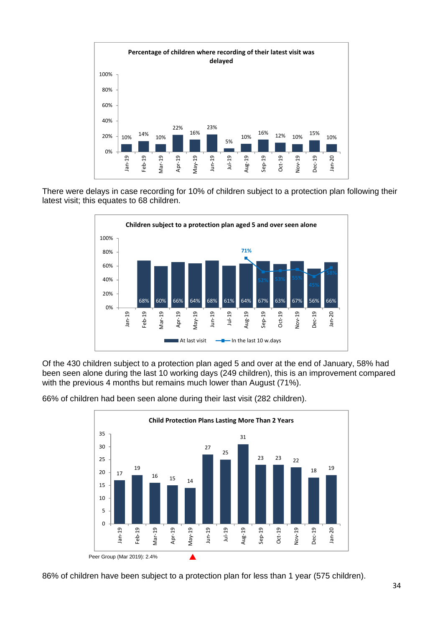

There were delays in case recording for 10% of children subject to a protection plan following their latest visit; this equates to 68 children.



Of the 430 children subject to a protection plan aged 5 and over at the end of January, 58% had been seen alone during the last 10 working days (249 children), this is an improvement compared with the previous 4 months but remains much lower than August (71%).



66% of children had been seen alone during their last visit (282 children).

86% of children have been subject to a protection plan for less than 1 year (575 children).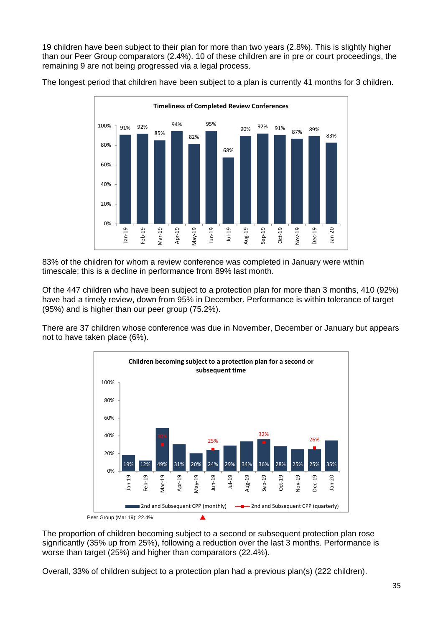19 children have been subject to their plan for more than two years (2.8%). This is slightly higher than our Peer Group comparators (2.4%). 10 of these children are in pre or court proceedings, the remaining 9 are not being progressed via a legal process.

The longest period that children have been subject to a plan is currently 41 months for 3 children.



83% of the children for whom a review conference was completed in January were within timescale; this is a decline in performance from 89% last month.

Of the 447 children who have been subject to a protection plan for more than 3 months, 410 (92%) have had a timely review, down from 95% in December. Performance is within tolerance of target (95%) and is higher than our peer group (75.2%).

There are 37 children whose conference was due in November, December or January but appears not to have taken place (6%).



The proportion of children becoming subject to a second or subsequent protection plan rose significantly (35% up from 25%), following a reduction over the last 3 months. Performance is worse than target (25%) and higher than comparators (22.4%).

Overall, 33% of children subject to a protection plan had a previous plan(s) (222 children).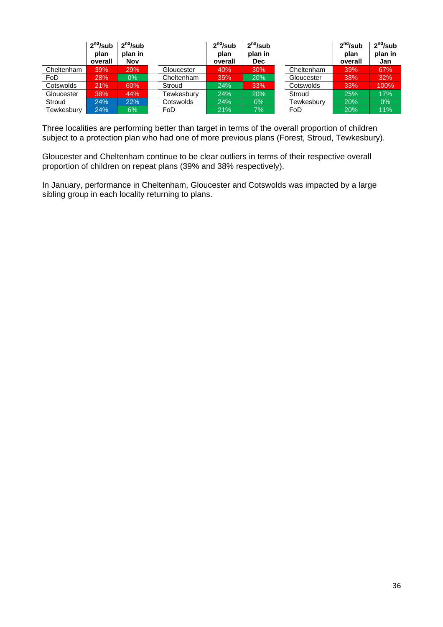|            | 2 <sup>nd</sup> /sub<br>plan<br>overall | 2 <sup>nd</sup> /sub<br>plan in<br>Nov |                   | 2 <sup>nd</sup> /sub<br>plan<br>overall | 2 <sup>nd</sup> /sub<br>plan in<br><b>Dec</b> |            | 2 <sup>nd</sup> /sub<br>plan<br>overall | 2 <sup>nd</sup> /sub<br>plan in<br>Jan |
|------------|-----------------------------------------|----------------------------------------|-------------------|-----------------------------------------|-----------------------------------------------|------------|-----------------------------------------|----------------------------------------|
| Cheltenham | 39%                                     | 29%                                    | Gloucester        | 40%                                     | 30%                                           | Cheltenham | 39%                                     | 67%                                    |
| FoD        | 28%                                     | $0\%$                                  | Cheltenham        | 35%                                     | 20%                                           | Gloucester | 38%                                     | 32%                                    |
| Cotswolds  | 21%                                     | 60%                                    | Stroud            | 24%                                     | 33%                                           | Cotswolds  | 33%                                     | 100%                                   |
| Gloucester | 38%                                     | 44%                                    | <b>Fewkesbury</b> | 24%                                     | 20%                                           | Stroud     | 25%                                     | 17%                                    |
| Stroud     | 24%                                     | 22%                                    | Cotswolds         | 24%                                     | $0\%$                                         | Tewkesburv | 20%                                     | 0%                                     |
| Tewkesbury | 24%                                     | 6%                                     | FoD               | 21%                                     | 7%                                            | FoD        | 20%                                     | 11%                                    |

Three localities are performing better than target in terms of the overall proportion of children subject to a protection plan who had one of more previous plans (Forest, Stroud, Tewkesbury).

Gloucester and Cheltenham continue to be clear outliers in terms of their respective overall proportion of children on repeat plans (39% and 38% respectively).

In January, performance in Cheltenham, Gloucester and Cotswolds was impacted by a large sibling group in each locality returning to plans.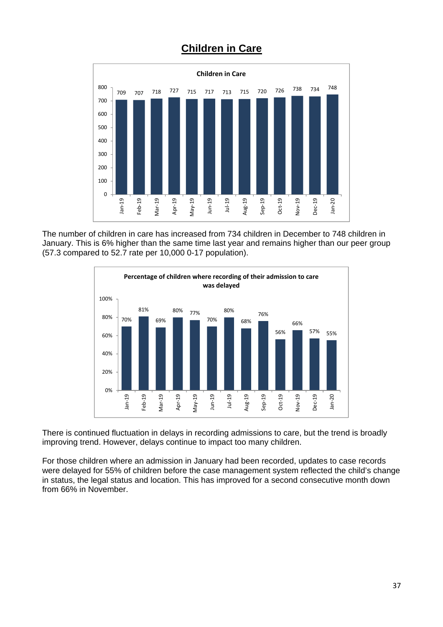## **Children in Care**



The number of children in care has increased from 734 children in December to 748 children in January. This is 6% higher than the same time last year and remains higher than our peer group (57.3 compared to 52.7 rate per 10,000 0-17 population).



There is continued fluctuation in delays in recording admissions to care, but the trend is broadly improving trend. However, delays continue to impact too many children.

For those children where an admission in January had been recorded, updates to case records were delayed for 55% of children before the case management system reflected the child's change in status, the legal status and location. This has improved for a second consecutive month down from 66% in November.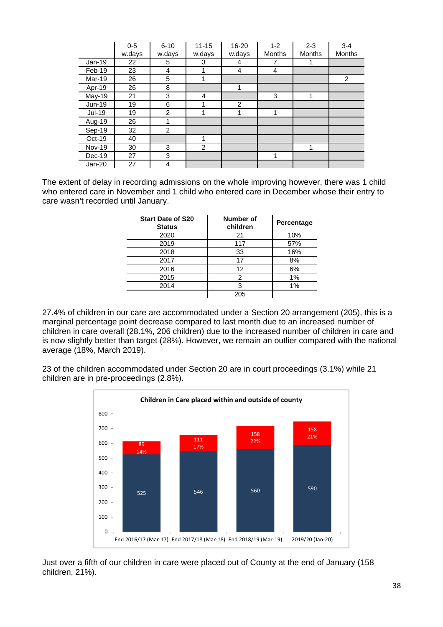|               | $0 - 5$ | $6 - 10$ | $11 - 15$ | 16-20  | $1 - 2$       | $2 - 3$       | $3 - 4$       |
|---------------|---------|----------|-----------|--------|---------------|---------------|---------------|
|               | w.days  | w.days   | w.days    | w.days | <b>Months</b> | <b>Months</b> | <b>Months</b> |
| $Jan-19$      | 22      | 5        | 3         | 4      | 7             |               |               |
| Feb-19        | 23      | 4        |           | 4      | 4             |               |               |
| Mar-19        | 26      | 5        |           |        |               |               | 2             |
| Apr-19        | 26      | 8        |           | 1      |               |               |               |
| May-19        | 21      | 3        | 4         |        | 3             | 1             |               |
| $Jun-19$      | 19      | 6        |           | 2      |               |               |               |
| <b>Jul-19</b> | 19      | 2        |           | 1      | 1             |               |               |
| Aug-19        | 26      |          |           |        |               |               |               |
| Sep-19        | 32      | 2        |           |        |               |               |               |
| $Oct-19$      | 40      |          |           |        |               |               |               |
| <b>Nov-19</b> | 30      | 3        | 2         |        |               | 1             |               |
| Dec-19        | 27      | 3        |           |        | 1             |               |               |
| $Jan-20$      | 27      | 4        |           |        |               |               |               |

The extent of delay in recording admissions on the whole improving however, there was 1 child who entered care in November and 1 child who entered care in December whose their entry to care wasn't recorded until January.

| <b>Start Date of S20</b><br><b>Status</b> | Number of<br>children | Percentage |
|-------------------------------------------|-----------------------|------------|
| 2020                                      | 21                    | 10%        |
| 2019                                      | 117                   | 57%        |
| 2018                                      | 33                    | 16%        |
| 2017                                      | 17                    | 8%         |
| 2016                                      | 12                    | 6%         |
| 2015                                      | 2                     | 1%         |
| 2014                                      | 3                     | 1%         |
|                                           | 205                   |            |

27.4% of children in our care are accommodated under a Section 20 arrangement (205), this is a marginal percentage point decrease compared to last month due to an increased number of children in care overall (28.1%, 206 children) due to the increased number of children in care and is now slightly better than target (28%). However, we remain an outlier compared with the national average (18%, March 2019).

23 of the children accommodated under Section 20 are in court proceedings (3.1%) while 21 children are in pre-proceedings (2.8%).



Just over a fifth of our children in care were placed out of County at the end of January (158 children, 21%).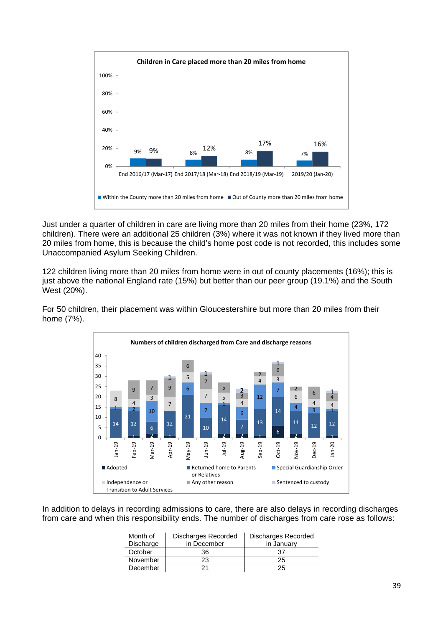

Just under a quarter of children in care are living more than 20 miles from their home (23%, 172 children). There were an additional 25 children (3%) where it was not known if they lived more than 20 miles from home, this is because the child's home post code is not recorded, this includes some Unaccompanied Asylum Seeking Children.

122 children living more than 20 miles from home were in out of county placements (16%); this is just above the national England rate (15%) but better than our peer group (19.1%) and the South West (20%).



For 50 children, their placement was within Gloucestershire but more than 20 miles from their home (7%).

In addition to delays in recording admissions to care, there are also delays in recording discharges from care and when this responsibility ends. The number of discharges from care rose as follows:

| Month of  | Discharges Recorded | Discharges Recorded |
|-----------|---------------------|---------------------|
| Discharge | in December         | in January          |
| October   | 36                  | 37                  |
| November  | 23                  | 25                  |
| December  |                     | 25                  |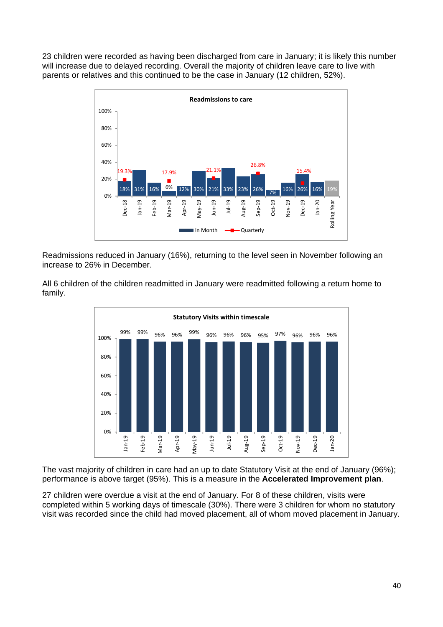23 children were recorded as having been discharged from care in January; it is likely this number will increase due to delayed recording. Overall the majority of children leave care to live with parents or relatives and this continued to be the case in January (12 children, 52%).



Readmissions reduced in January (16%), returning to the level seen in November following an increase to 26% in December.

All 6 children of the children readmitted in January were readmitted following a return home to family.



The vast majority of children in care had an up to date Statutory Visit at the end of January (96%); performance is above target (95%). This is a measure in the **Accelerated Improvement plan**.

27 children were overdue a visit at the end of January. For 8 of these children, visits were completed within 5 working days of timescale (30%). There were 3 children for whom no statutory visit was recorded since the child had moved placement, all of whom moved placement in January.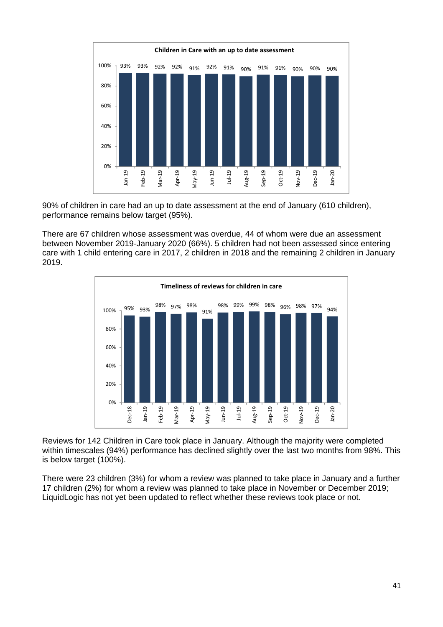

90% of children in care had an up to date assessment at the end of January (610 children), performance remains below target (95%).

There are 67 children whose assessment was overdue, 44 of whom were due an assessment between November 2019-January 2020 (66%). 5 children had not been assessed since entering care with 1 child entering care in 2017, 2 children in 2018 and the remaining 2 children in January 2019.



Reviews for 142 Children in Care took place in January. Although the majority were completed within timescales (94%) performance has declined slightly over the last two months from 98%. This is below target (100%).

There were 23 children (3%) for whom a review was planned to take place in January and a further 17 children (2%) for whom a review was planned to take place in November or December 2019; LiquidLogic has not yet been updated to reflect whether these reviews took place or not.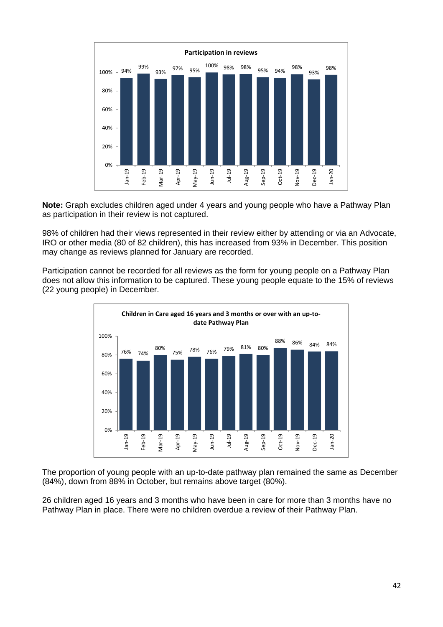

**Note:** Graph excludes children aged under 4 years and young people who have a Pathway Plan as participation in their review is not captured.

98% of children had their views represented in their review either by attending or via an Advocate, IRO or other media (80 of 82 children), this has increased from 93% in December. This position may change as reviews planned for January are recorded.

Participation cannot be recorded for all reviews as the form for young people on a Pathway Plan does not allow this information to be captured. These young people equate to the 15% of reviews (22 young people) in December.



The proportion of young people with an up-to-date pathway plan remained the same as December (84%), down from 88% in October, but remains above target (80%).

26 children aged 16 years and 3 months who have been in care for more than 3 months have no Pathway Plan in place. There were no children overdue a review of their Pathway Plan.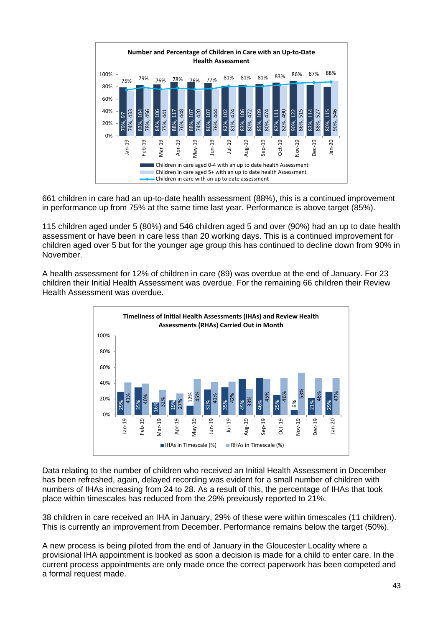

661 children in care had an up-to-date health assessment (88%), this is a continued improvement in performance up from 75% at the same time last year. Performance is above target (85%).

115 children aged under 5 (80%) and 546 children aged 5 and over (90%) had an up to date health assessment or have been in care less than 20 working days. This is a continued improvement for children aged over 5 but for the younger age group this has continued to decline down from 90% in November.

A health assessment for 12% of children in care (89) was overdue at the end of January. For 23 children their Initial Health Assessment was overdue. For the remaining 66 children their Review Health Assessment was overdue.



Data relating to the number of children who received an Initial Health Assessment in December has been refreshed, again, delayed recording was evident for a small number of children with numbers of IHAs increasing from 24 to 28. As a result of this, the percentage of IHAs that took place within timescales has reduced from the 29% previously reported to 21%.

38 children in care received an IHA in January, 29% of these were within timescales (11 children). This is currently an improvement from December. Performance remains below the target (50%).

A new process is being piloted from the end of January in the Gloucester Locality where a provisional IHA appointment is booked as soon a decision is made for a child to enter care. In the current process appointments are only made once the correct paperwork has been competed and a formal request made.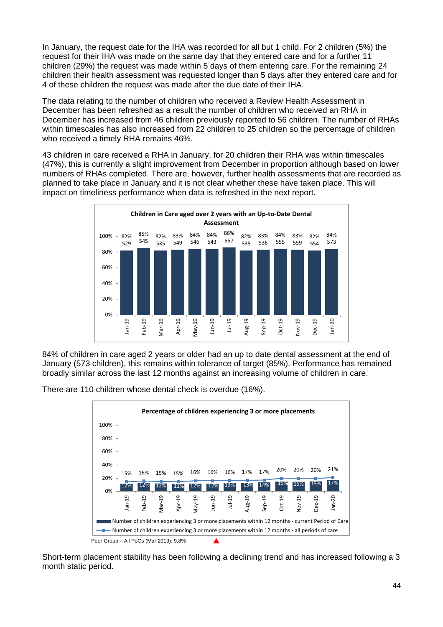In January, the request date for the IHA was recorded for all but 1 child. For 2 children (5%) the request for their IHA was made on the same day that they entered care and for a further 11 children (29%) the request was made within 5 days of them entering care. For the remaining 24 children their health assessment was requested longer than 5 days after they entered care and for 4 of these children the request was made after the due date of their IHA.

The data relating to the number of children who received a Review Health Assessment in December has been refreshed as a result the number of children who received an RHA in December has increased from 46 children previously reported to 56 children. The number of RHAs within timescales has also increased from 22 children to 25 children so the percentage of children who received a timely RHA remains 46%.

43 children in care received a RHA in January, for 20 children their RHA was within timescales (47%), this is currently a slight improvement from December in proportion although based on lower numbers of RHAs completed. There are, however, further health assessments that are recorded as planned to take place in January and it is not clear whether these have taken place. This will impact on timeliness performance when data is refreshed in the next report.



84% of children in care aged 2 years or older had an up to date dental assessment at the end of January (573 children), this remains within tolerance of target (85%). Performance has remained broadly similar across the last 12 months against an increasing volume of children in care.

There are 110 children whose dental check is overdue (16%).



Short-term placement stability has been following a declining trend and has increased following a 3 month static period.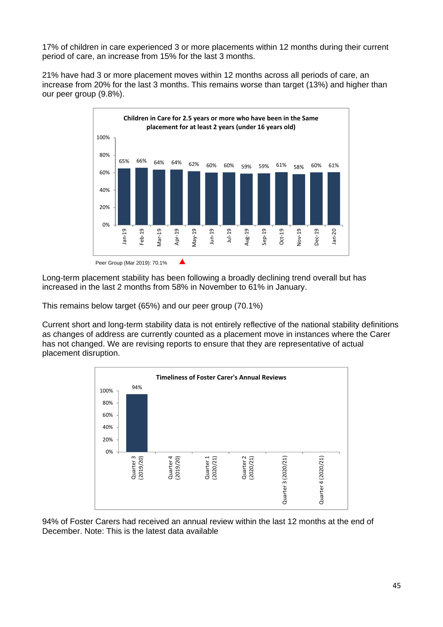17% of children in care experienced 3 or more placements within 12 months during their current period of care, an increase from 15% for the last 3 months.

21% have had 3 or more placement moves within 12 months across all periods of care, an increase from 20% for the last 3 months. This remains worse than target (13%) and higher than our peer group (9.8%).



Long-term placement stability has been following a broadly declining trend overall but has increased in the last 2 months from 58% in November to 61% in January.

This remains below target (65%) and our peer group (70.1%)

Current short and long-term stability data is not entirely reflective of the national stability definitions as changes of address are currently counted as a placement move in instances where the Carer has not changed. We are revising reports to ensure that they are representative of actual placement disruption.



94% of Foster Carers had received an annual review within the last 12 months at the end of December. Note: This is the latest data available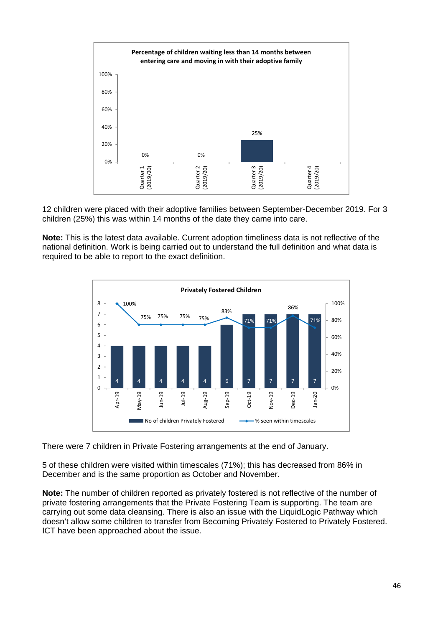

12 children were placed with their adoptive families between September-December 2019. For 3 children (25%) this was within 14 months of the date they came into care.

**Note:** This is the latest data available. Current adoption timeliness data is not reflective of the national definition. Work is being carried out to understand the full definition and what data is required to be able to report to the exact definition.



There were 7 children in Private Fostering arrangements at the end of January.

5 of these children were visited within timescales (71%); this has decreased from 86% in December and is the same proportion as October and November.

**Note:** The number of children reported as privately fostered is not reflective of the number of private fostering arrangements that the Private Fostering Team is supporting. The team are carrying out some data cleansing. There is also an issue with the LiquidLogic Pathway which doesn't allow some children to transfer from Becoming Privately Fostered to Privately Fostered. ICT have been approached about the issue.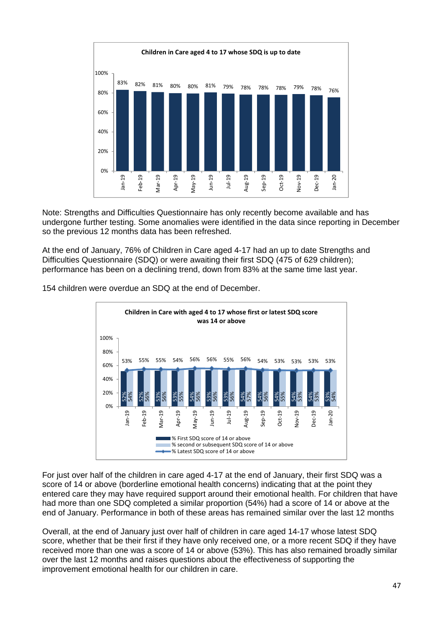

Note: Strengths and Difficulties Questionnaire has only recently become available and has undergone further testing. Some anomalies were identified in the data since reporting in December so the previous 12 months data has been refreshed.

At the end of January, 76% of Children in Care aged 4-17 had an up to date Strengths and Difficulties Questionnaire (SDQ) or were awaiting their first SDQ (475 of 629 children); performance has been on a declining trend, down from 83% at the same time last year.

154 children were overdue an SDQ at the end of December.



For just over half of the children in care aged 4-17 at the end of January, their first SDQ was a score of 14 or above (borderline emotional health concerns) indicating that at the point they entered care they may have required support around their emotional health. For children that have had more than one SDQ completed a similar proportion (54%) had a score of 14 or above at the end of January. Performance in both of these areas has remained similar over the last 12 months

Overall, at the end of January just over half of children in care aged 14-17 whose latest SDQ score, whether that be their first if they have only received one, or a more recent SDQ if they have received more than one was a score of 14 or above (53%). This has also remained broadly similar over the last 12 months and raises questions about the effectiveness of supporting the improvement emotional health for our children in care.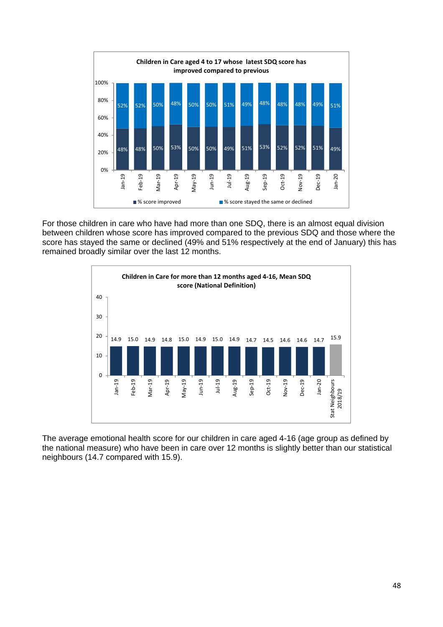

For those children in care who have had more than one SDQ, there is an almost equal division between children whose score has improved compared to the previous SDQ and those where the score has stayed the same or declined (49% and 51% respectively at the end of January) this has remained broadly similar over the last 12 months.



The average emotional health score for our children in care aged 4-16 (age group as defined by the national measure) who have been in care over 12 months is slightly better than our statistical neighbours (14.7 compared with 15.9).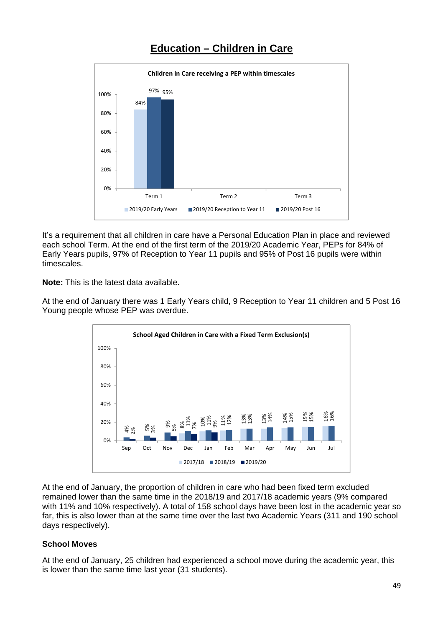

## **Education – Children in Care**

It's a requirement that all children in care have a Personal Education Plan in place and reviewed each school Term. At the end of the first term of the 2019/20 Academic Year, PEPs for 84% of Early Years pupils, 97% of Reception to Year 11 pupils and 95% of Post 16 pupils were within timescales.

**Note:** This is the latest data available.

At the end of January there was 1 Early Years child, 9 Reception to Year 11 children and 5 Post 16 Young people whose PEP was overdue.



At the end of January, the proportion of children in care who had been fixed term excluded remained lower than the same time in the 2018/19 and 2017/18 academic years (9% compared with 11% and 10% respectively). A total of 158 school days have been lost in the academic year so far, this is also lower than at the same time over the last two Academic Years (311 and 190 school days respectively).

## **School Moves**

At the end of January, 25 children had experienced a school move during the academic year, this is lower than the same time last year (31 students).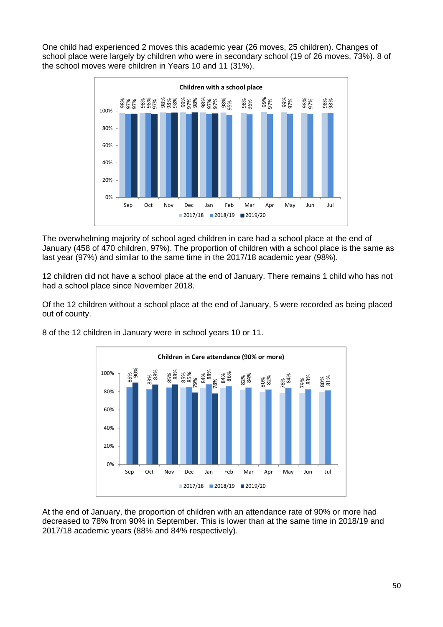One child had experienced 2 moves this academic year (26 moves, 25 children). Changes of school place were largely by children who were in secondary school (19 of 26 moves, 73%). 8 of the school moves were children in Years 10 and 11 (31%).



The overwhelming majority of school aged children in care had a school place at the end of January (458 of 470 children, 97%). The proportion of children with a school place is the same as last year (97%) and similar to the same time in the 2017/18 academic year (98%).

12 children did not have a school place at the end of January. There remains 1 child who has not had a school place since November 2018.

Of the 12 children without a school place at the end of January, 5 were recorded as being placed out of county.



8 of the 12 children in January were in school years 10 or 11.

At the end of January, the proportion of children with an attendance rate of 90% or more had decreased to 78% from 90% in September. This is lower than at the same time in 2018/19 and 2017/18 academic years (88% and 84% respectively).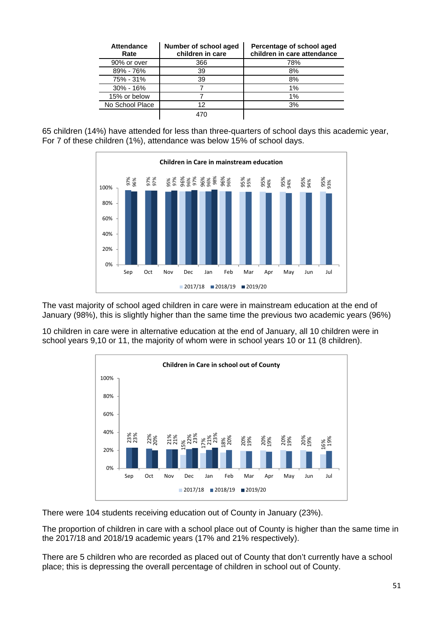| <b>Attendance</b><br>Rate | Number of school aged<br>children in care | Percentage of school aged<br>children in care attendance |
|---------------------------|-------------------------------------------|----------------------------------------------------------|
| 90% or over               | 366                                       | 78%                                                      |
| 89% - 76%                 | 39                                        | 8%                                                       |
| 75% - 31%                 | 39                                        | 8%                                                       |
| $30\% - 16\%$             |                                           | 1%                                                       |
| 15% or below              |                                           | 1%                                                       |
| No School Place           | 12                                        | 3%                                                       |
|                           |                                           |                                                          |

65 children (14%) have attended for less than three-quarters of school days this academic year, For 7 of these children (1%), attendance was below 15% of school days.



The vast majority of school aged children in care were in mainstream education at the end of January (98%), this is slightly higher than the same time the previous two academic years (96%)

10 children in care were in alternative education at the end of January, all 10 children were in school years 9,10 or 11, the majority of whom were in school years 10 or 11 (8 children).

![](_page_50_Figure_5.jpeg)

There were 104 students receiving education out of County in January (23%).

The proportion of children in care with a school place out of County is higher than the same time in the 2017/18 and 2018/19 academic years (17% and 21% respectively).

There are 5 children who are recorded as placed out of County that don't currently have a school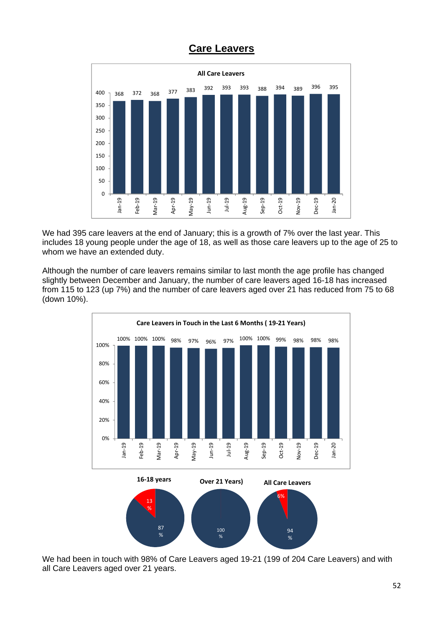![](_page_51_Figure_0.jpeg)

## **Care Leavers**

We had 395 care leavers at the end of January; this is a growth of 7% over the last year. This includes 18 young people under the age of 18, as well as those care leavers up to the age of 25 to whom we have an extended duty.

Although the number of care leavers remains similar to last month the age profile has changed slightly between December and January, the number of care leavers aged 16-18 has increased from 115 to 123 (up 7%) and the number of care leavers aged over 21 has reduced from 75 to 68 (down 10%).

![](_page_51_Figure_4.jpeg)

We had been in touch with 98% of Care Leavers aged 19-21 (199 of 204 Care Leavers) and with all Care Leavers aged over 21 years.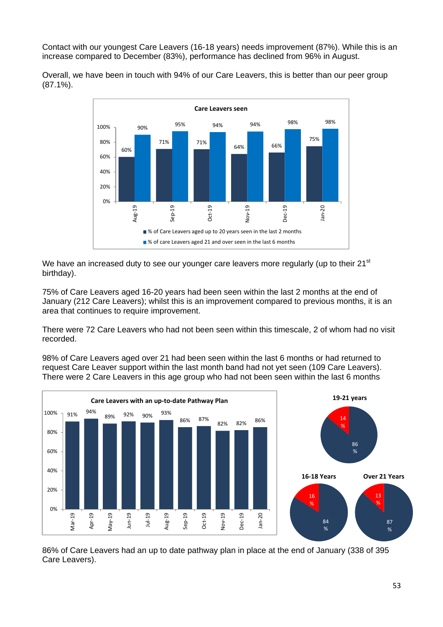Contact with our youngest Care Leavers (16-18 years) needs improvement (87%). While this is an increase compared to December (83%), performance has declined from 96% in August.

Overall, we have been in touch with 94% of our Care Leavers, this is better than our peer group (87.1%).

![](_page_52_Figure_2.jpeg)

We have an increased duty to see our younger care leavers more regularly (up to their  $21<sup>st</sup>$ birthday).

75% of Care Leavers aged 16-20 years had been seen within the last 2 months at the end of January (212 Care Leavers); whilst this is an improvement compared to previous months, it is an area that continues to require improvement.

There were 72 Care Leavers who had not been seen within this timescale, 2 of whom had no visit recorded.

98% of Care Leavers aged over 21 had been seen within the last 6 months or had returned to request Care Leaver support within the last month band had not yet seen (109 Care Leavers). There were 2 Care Leavers in this age group who had not been seen within the last 6 months

![](_page_52_Figure_7.jpeg)

86% of Care Leavers had an up to date pathway plan in place at the end of January (338 of 395 Care Leavers).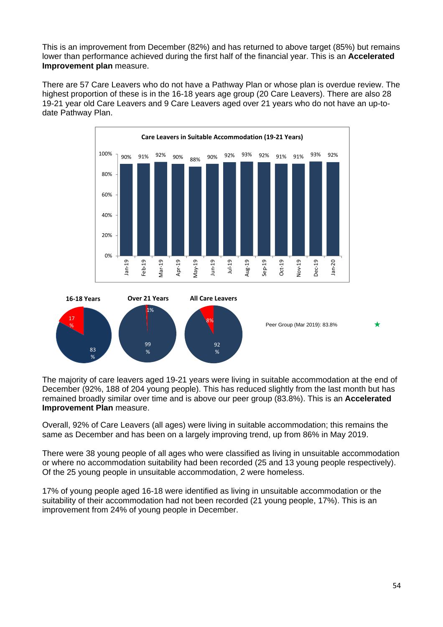This is an improvement from December (82%) and has returned to above target (85%) but remains lower than performance achieved during the first half of the financial year. This is an **Accelerated Improvement plan** measure.

There are 57 Care Leavers who do not have a Pathway Plan or whose plan is overdue review. The highest proportion of these is in the 16-18 years age group (20 Care Leavers). There are also 28 19-21 year old Care Leavers and 9 Care Leavers aged over 21 years who do not have an up-todate Pathway Plan.

![](_page_53_Figure_2.jpeg)

![](_page_53_Figure_3.jpeg)

The majority of care leavers aged 19-21 years were living in suitable accommodation at the end of December (92%, 188 of 204 young people). This has reduced slightly from the last month but has remained broadly similar over time and is above our peer group (83.8%). This is an **Accelerated Improvement Plan** measure.

Overall, 92% of Care Leavers (all ages) were living in suitable accommodation; this remains the same as December and has been on a largely improving trend, up from 86% in May 2019.

There were 38 young people of all ages who were classified as living in unsuitable accommodation or where no accommodation suitability had been recorded (25 and 13 young people respectively). Of the 25 young people in unsuitable accommodation, 2 were homeless.

17% of young people aged 16-18 were identified as living in unsuitable accommodation or the suitability of their accommodation had not been recorded (21 young people, 17%). This is an improvement from 24% of young people in December.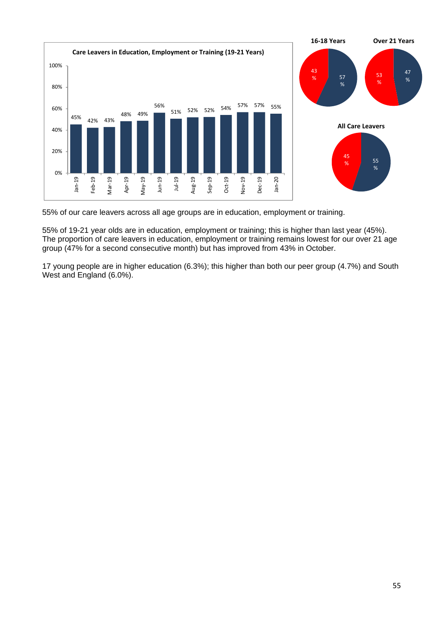![](_page_54_Figure_0.jpeg)

55% of our care leavers across all age groups are in education, employment or training.

55% of 19-21 year olds are in education, employment or training; this is higher than last year (45%). The proportion of care leavers in education, employment or training remains lowest for our over 21 age group (47% for a second consecutive month) but has improved from 43% in October.

17 young people are in higher education (6.3%); this higher than both our peer group (4.7%) and South West and England (6.0%).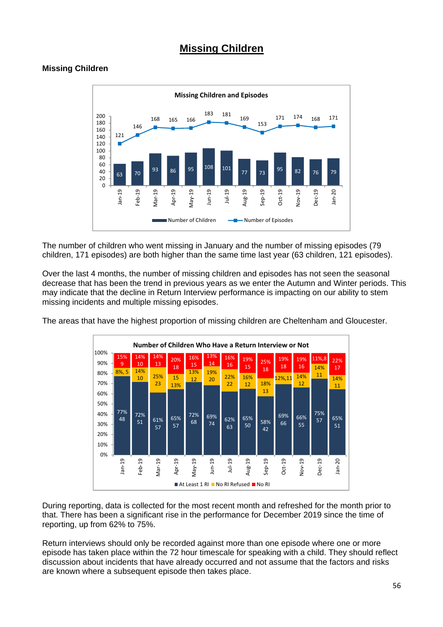## **Missing Children**

## **Missing Children**

![](_page_55_Figure_2.jpeg)

The number of children who went missing in January and the number of missing episodes (79 children, 171 episodes) are both higher than the same time last year (63 children, 121 episodes).

Over the last 4 months, the number of missing children and episodes has not seen the seasonal decrease that has been the trend in previous years as we enter the Autumn and Winter periods. This may indicate that the decline in Return Interview performance is impacting on our ability to stem missing incidents and multiple missing episodes.

The areas that have the highest proportion of missing children are Cheltenham and Gloucester.

![](_page_55_Figure_6.jpeg)

During reporting, data is collected for the most recent month and refreshed for the month prior to that. There has been a significant rise in the performance for December 2019 since the time of reporting, up from 62% to 75%.

Return interviews should only be recorded against more than one episode where one or more episode has taken place within the 72 hour timescale for speaking with a child. They should reflect discussion about incidents that have already occurred and not assume that the factors and risks are known where a subsequent episode then takes place.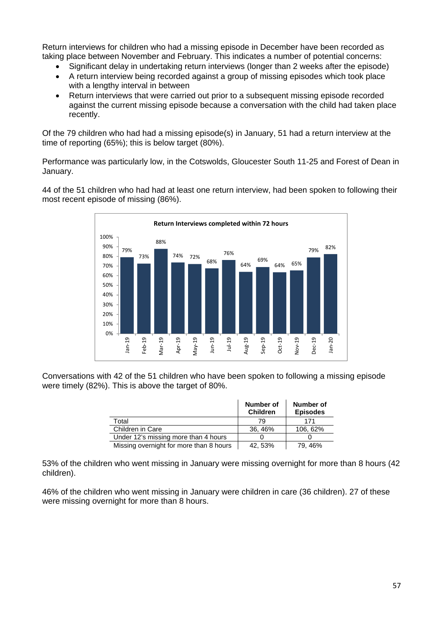Return interviews for children who had a missing episode in December have been recorded as taking place between November and February. This indicates a number of potential concerns:

- Significant delay in undertaking return interviews (longer than 2 weeks after the episode)
- A return interview being recorded against a group of missing episodes which took place with a lengthy interval in between
- Return interviews that were carried out prior to a subsequent missing episode recorded against the current missing episode because a conversation with the child had taken place recently.

Of the 79 children who had had a missing episode(s) in January, 51 had a return interview at the time of reporting (65%); this is below target (80%).

Performance was particularly low, in the Cotswolds, Gloucester South 11-25 and Forest of Dean in January.

44 of the 51 children who had had at least one return interview, had been spoken to following their most recent episode of missing (86%).

![](_page_56_Figure_7.jpeg)

Conversations with 42 of the 51 children who have been spoken to following a missing episode were timely (82%). This is above the target of 80%.

|                                         | Number of<br><b>Children</b> | Number of<br><b>Episodes</b> |
|-----------------------------------------|------------------------------|------------------------------|
| Total                                   | 79                           | 171                          |
| Children in Care                        | 36, 46%                      | 106, 62%                     |
| Under 12's missing more than 4 hours    |                              |                              |
| Missing overnight for more than 8 hours | 42, 53%                      | 79, 46%                      |

53% of the children who went missing in January were missing overnight for more than 8 hours (42 children).

46% of the children who went missing in January were children in care (36 children). 27 of these were missing overnight for more than 8 hours.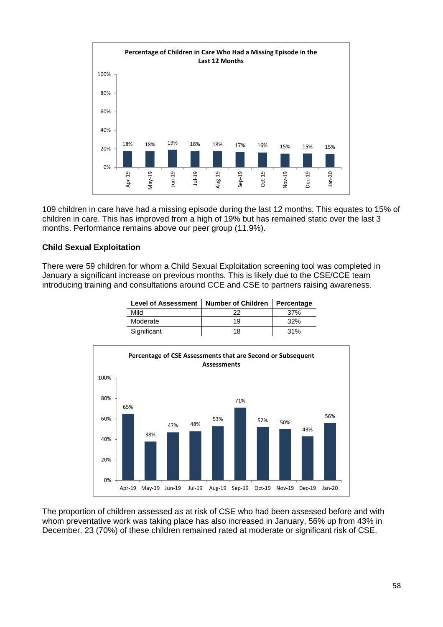![](_page_57_Figure_0.jpeg)

109 children in care have had a missing episode during the last 12 months. This equates to 15% of children in care. This has improved from a high of 19% but has remained static over the last 3 months. Performance remains above our peer group (11.9%).

## **Child Sexual Exploitation**

There were 59 children for whom a Child Sexual Exploitation screening tool was completed in January a significant increase on previous months. This is likely due to the CSE/CCE team introducing training and consultations around CCE and CSE to partners raising awareness.

| Level of Assessment   Number of Children   Percentage |    |     |  |  |  |
|-------------------------------------------------------|----|-----|--|--|--|
| Mild                                                  | 22 | 37% |  |  |  |
| Moderate                                              | 19 | 32% |  |  |  |
| Significant                                           | 18 | 31% |  |  |  |

![](_page_57_Figure_5.jpeg)

The proportion of children assessed as at risk of CSE who had been assessed before and with whom preventative work was taking place has also increased in January, 56% up from 43% in December. 23 (70%) of these children remained rated at moderate or significant risk of CSE.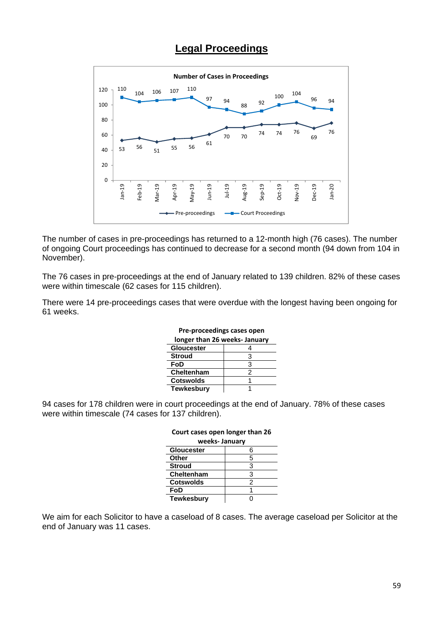## **Legal Proceedings**

![](_page_58_Figure_1.jpeg)

The number of cases in pre-proceedings has returned to a 12-month high (76 cases). The number of ongoing Court proceedings has continued to decrease for a second month (94 down from 104 in November).

The 76 cases in pre-proceedings at the end of January related to 139 children. 82% of these cases were within timescale (62 cases for 115 children).

There were 14 pre-proceedings cases that were overdue with the longest having been ongoing for 61 weeks.

| longer than 26 weeks- January |   |  |  |  |  |  |  |
|-------------------------------|---|--|--|--|--|--|--|
| <b>Gloucester</b>             |   |  |  |  |  |  |  |
| <b>Stroud</b>                 | з |  |  |  |  |  |  |
| FoD                           | з |  |  |  |  |  |  |
| Cheltenham                    | 2 |  |  |  |  |  |  |
| <b>Cotswolds</b>              |   |  |  |  |  |  |  |
| Tewkesbury                    |   |  |  |  |  |  |  |

## **Pre‐proceedings cases open**

94 cases for 178 children were in court proceedings at the end of January. 78% of these cases were within timescale (74 cases for 137 children).

| Court cases open longer than 26 |   |  |  |  |  |  |  |
|---------------------------------|---|--|--|--|--|--|--|
| weeks-January                   |   |  |  |  |  |  |  |
| <b>Gloucester</b>               | 6 |  |  |  |  |  |  |
| Other                           | 5 |  |  |  |  |  |  |
| <b>Stroud</b>                   | 3 |  |  |  |  |  |  |
| <b>Cheltenham</b>               | з |  |  |  |  |  |  |
| <b>Cotswolds</b>                | 2 |  |  |  |  |  |  |
| FoD                             |   |  |  |  |  |  |  |
| <b>Tewkesbury</b>               |   |  |  |  |  |  |  |

## We aim for each Solicitor to have a caseload of 8 cases. The average caseload per Solicitor at the end of January was 11 cases.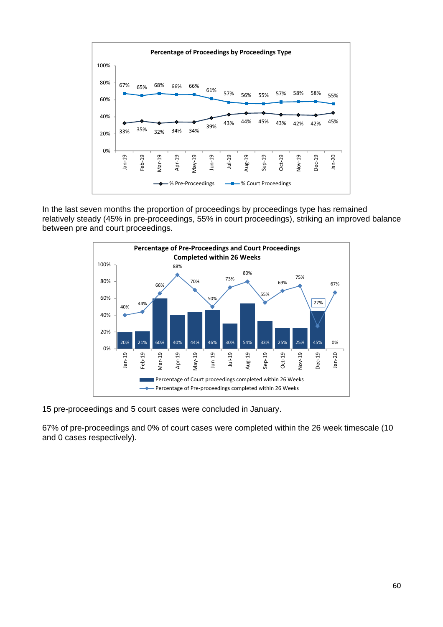![](_page_59_Figure_0.jpeg)

In the last seven months the proportion of proceedings by proceedings type has remained relatively steady (45% in pre-proceedings, 55% in court proceedings), striking an improved balance between pre and court proceedings.

![](_page_59_Figure_2.jpeg)

15 pre-proceedings and 5 court cases were concluded in January.

67% of pre-proceedings and 0% of court cases were completed within the 26 week timescale (10 and 0 cases respectively).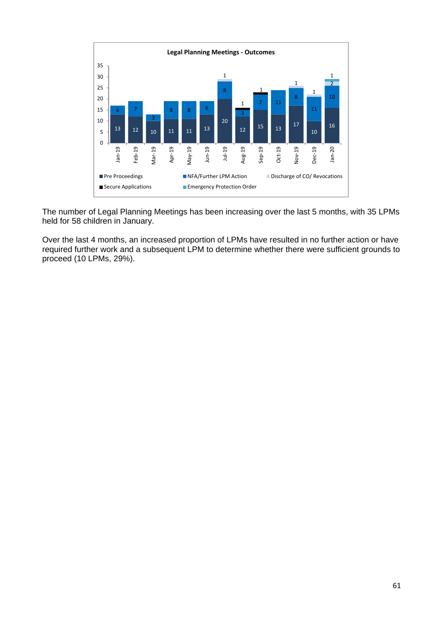![](_page_60_Figure_0.jpeg)

The number of Legal Planning Meetings has been increasing over the last 5 months, with 35 LPMs held for 58 children in January.

Over the last 4 months, an increased proportion of LPMs have resulted in no further action or have required further work and a subsequent LPM to determine whether there were sufficient grounds to proceed (10 LPMs, 29%).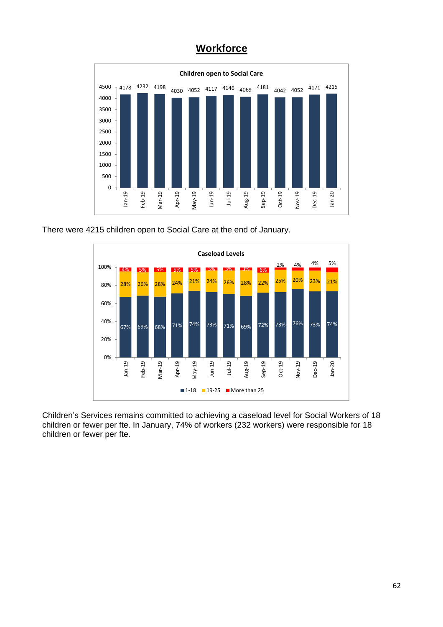![](_page_61_Figure_0.jpeg)

![](_page_61_Figure_1.jpeg)

There were 4215 children open to Social Care at the end of January.

![](_page_61_Figure_3.jpeg)

Children's Services remains committed to achieving a caseload level for Social Workers of 18 children or fewer per fte. In January, 74% of workers (232 workers) were responsible for 18 children or fewer per fte.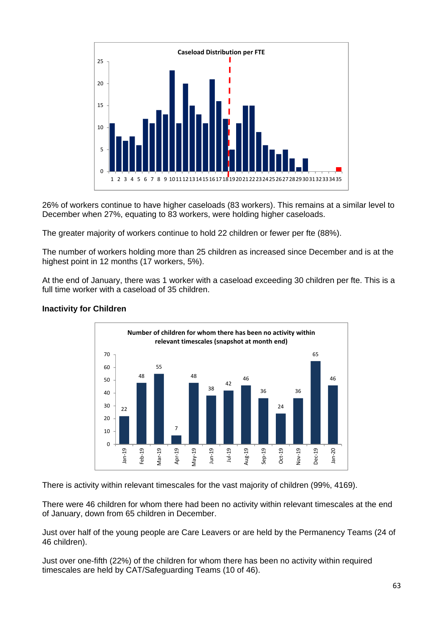![](_page_62_Figure_0.jpeg)

26% of workers continue to have higher caseloads (83 workers). This remains at a similar level to December when 27%, equating to 83 workers, were holding higher caseloads.

The greater majority of workers continue to hold 22 children or fewer per fte (88%).

The number of workers holding more than 25 children as increased since December and is at the highest point in 12 months (17 workers, 5%).

At the end of January, there was 1 worker with a caseload exceeding 30 children per fte. This is a full time worker with a caseload of 35 children.

![](_page_62_Figure_5.jpeg)

## **Inactivity for Children**

There is activity within relevant timescales for the vast majority of children (99%, 4169).

There were 46 children for whom there had been no activity within relevant timescales at the end of January, down from 65 children in December.

Just over half of the young people are Care Leavers or are held by the Permanency Teams (24 of 46 children).

Just over one-fifth (22%) of the children for whom there has been no activity within required timescales are held by CAT/Safeguarding Teams (10 of 46).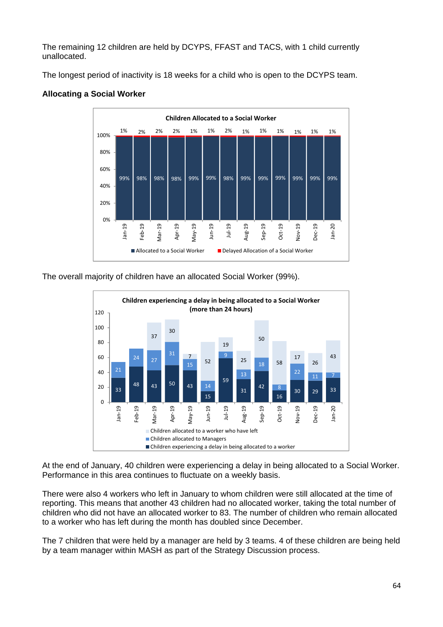The remaining 12 children are held by DCYPS, FFAST and TACS, with 1 child currently unallocated.

The longest period of inactivity is 18 weeks for a child who is open to the DCYPS team.

![](_page_63_Figure_2.jpeg)

## **Allocating a Social Worker**

The overall majority of children have an allocated Social Worker (99%).

![](_page_63_Figure_5.jpeg)

At the end of January, 40 children were experiencing a delay in being allocated to a Social Worker. Performance in this area continues to fluctuate on a weekly basis.

There were also 4 workers who left in January to whom children were still allocated at the time of reporting. This means that another 43 children had no allocated worker, taking the total number of children who did not have an allocated worker to 83. The number of children who remain allocated to a worker who has left during the month has doubled since December.

The 7 children that were held by a manager are held by 3 teams. 4 of these children are being held by a team manager within MASH as part of the Strategy Discussion process.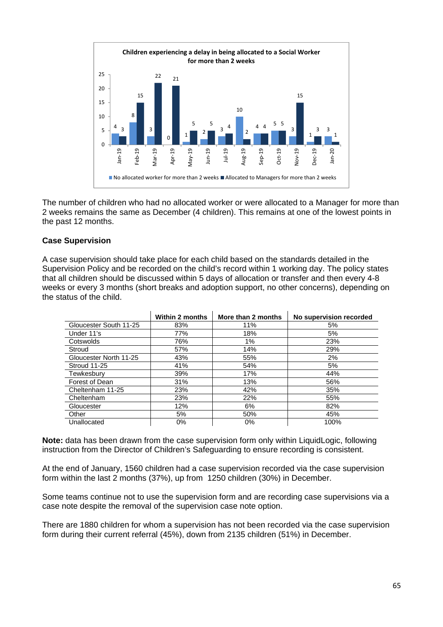![](_page_64_Figure_0.jpeg)

The number of children who had no allocated worker or were allocated to a Manager for more than 2 weeks remains the same as December (4 children). This remains at one of the lowest points in the past 12 months.

## **Case Supervision**

A case supervision should take place for each child based on the standards detailed in the Supervision Policy and be recorded on the child's record within 1 working day. The policy states that all children should be discussed within 5 days of allocation or transfer and then every 4-8 weeks or every 3 months (short breaks and adoption support, no other concerns), depending on the status of the child.

|                        | <b>Within 2 months</b> | More than 2 months | No supervision recorded |
|------------------------|------------------------|--------------------|-------------------------|
| Gloucester South 11-25 | 83%                    | 11%                | 5%                      |
| Under 11's             | 77%                    | 18%                | 5%                      |
| Cotswolds              | 76%                    | 1%                 | 23%                     |
| Stroud                 | 57%                    | 14%                | 29%                     |
| Gloucester North 11-25 | 43%                    | 55%                | 2%                      |
| Stroud 11-25           | 41%                    | 54%                | 5%                      |
| Tewkesbury             | 39%                    | 17%                | 44%                     |
| Forest of Dean         | 31%                    | 13%                | 56%                     |
| Cheltenham 11-25       | 23%                    | 42%                | 35%                     |
| Cheltenham             | 23%                    | 22%                | 55%                     |
| Gloucester             | 12%                    | 6%                 | 82%                     |
| Other                  | 5%                     | 50%                | 45%                     |
| Unallocated            | $0\%$                  | $0\%$              | 100%                    |

**Note:** data has been drawn from the case supervision form only within LiquidLogic, following instruction from the Director of Children's Safeguarding to ensure recording is consistent.

At the end of January, 1560 children had a case supervision recorded via the case supervision form within the last 2 months (37%), up from 1250 children (30%) in December.

Some teams continue not to use the supervision form and are recording case supervisions via a case note despite the removal of the supervision case note option.

There are 1880 children for whom a supervision has not been recorded via the case supervision form during their current referral (45%), down from 2135 children (51%) in December.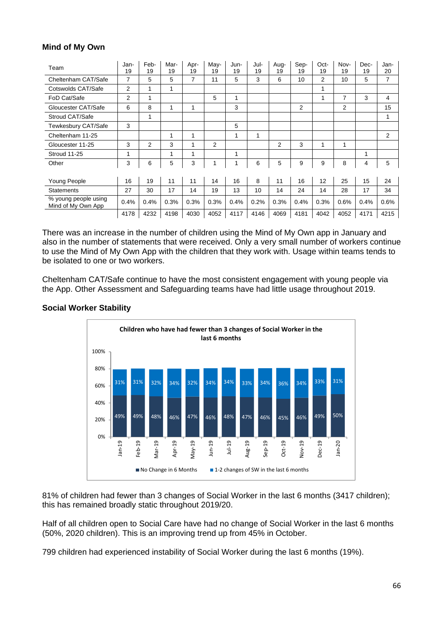## **Mind of My Own**

| Team                                       | Jan-<br>19     | Feb-<br>19   | Mar-<br>19 | Apr-<br>19 | May-<br>19 | Jun-<br>19 | Jul-<br>19 | Aug-<br>19 | Sep-<br>19 | Oct-<br>19 | Nov-<br>19 | Dec-<br>19 | Jan-<br>20 |
|--------------------------------------------|----------------|--------------|------------|------------|------------|------------|------------|------------|------------|------------|------------|------------|------------|
| Cheltenham CAT/Safe                        | 7              | 5            | 5          | 7          | 11         | 5          | 3          | 6          | 10         | 2          | 10         | 5          | 7          |
| Cotswolds CAT/Safe                         | $\overline{2}$ | 1            | 1          |            |            |            |            |            |            | 1          |            |            |            |
| FoD Cat/Safe                               | 2              | 1            |            |            | 5          | 1          |            |            |            | 1          | 7          | 3          | 4          |
| Gloucester CAT/Safe                        | 6              | 8            | 1          | 1          |            | 3          |            |            | 2          |            | 2          |            | 15         |
| Stroud CAT/Safe                            |                | $\mathbf{1}$ |            |            |            |            |            |            |            |            |            |            | 1          |
| Tewkesbury CAT/Safe                        | 3              |              |            |            |            | 5          |            |            |            |            |            |            |            |
| Cheltenham 11-25                           |                |              | 1          | 1          |            | 1          | 1          |            |            |            |            |            | 2          |
| Gloucester 11-25                           | 3              | 2            | 3          | 1          | 2          |            |            | 2          | 3          | 1          | 1          |            |            |
| Stroud 11-25                               | 1              |              | 1          | 1          |            | 1          |            |            |            |            |            | 1          |            |
| Other                                      | 3              | 6            | 5          | 3          | 1          | 1          | 6          | 5          | 9          | 9          | 8          | 4          | 5          |
|                                            |                |              |            |            |            |            |            |            |            |            |            |            |            |
| Young People                               | 16             | 19           | 11         | 11         | 14         | 16         | 8          | 11         | 16         | 12         | 25         | 15         | 24         |
| <b>Statements</b>                          | 27             | 30           | 17         | 14         | 19         | 13         | 10         | 14         | 24         | 14         | 28         | 17         | 34         |
| % young people using<br>Mind of My Own App | 0.4%           | 0.4%         | 0.3%       | 0.3%       | 0.3%       | 0.4%       | 0.2%       | 0.3%       | 0.4%       | 0.3%       | 0.6%       | 0.4%       | 0.6%       |
|                                            | 4178           | 4232         | 4198       | 4030       | 4052       | 4117       | 4146       | 4069       | 4181       | 4042       | 4052       | 4171       | 4215       |

There was an increase in the number of children using the Mind of My Own app in January and also in the number of statements that were received. Only a very small number of workers continue to use the Mind of My Own App with the children that they work with. Usage within teams tends to be isolated to one or two workers.

Cheltenham CAT/Safe continue to have the most consistent engagement with young people via the App. Other Assessment and Safeguarding teams have had little usage throughout 2019.

![](_page_65_Figure_4.jpeg)

### **Social Worker Stability**

81% of children had fewer than 3 changes of Social Worker in the last 6 months (3417 children); this has remained broadly static throughout 2019/20.

Half of all children open to Social Care have had no change of Social Worker in the last 6 months (50%, 2020 children). This is an improving trend up from 45% in October.

799 children had experienced instability of Social Worker during the last 6 months (19%).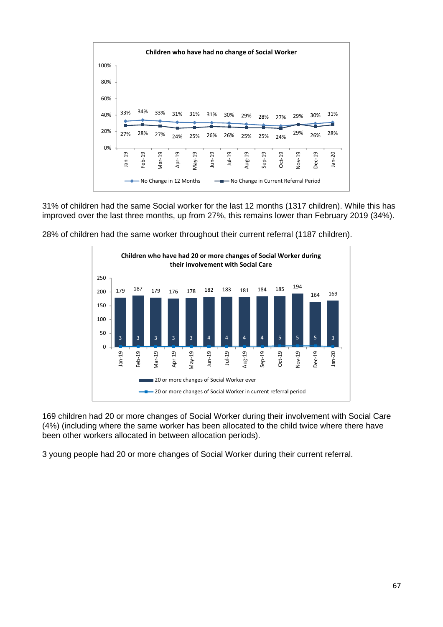![](_page_66_Figure_0.jpeg)

31% of children had the same Social worker for the last 12 months (1317 children). While this has improved over the last three months, up from 27%, this remains lower than February 2019 (34%).

![](_page_66_Figure_2.jpeg)

28% of children had the same worker throughout their current referral (1187 children).

169 children had 20 or more changes of Social Worker during their involvement with Social Care (4%) (including where the same worker has been allocated to the child twice where there have been other workers allocated in between allocation periods).

3 young people had 20 or more changes of Social Worker during their current referral.